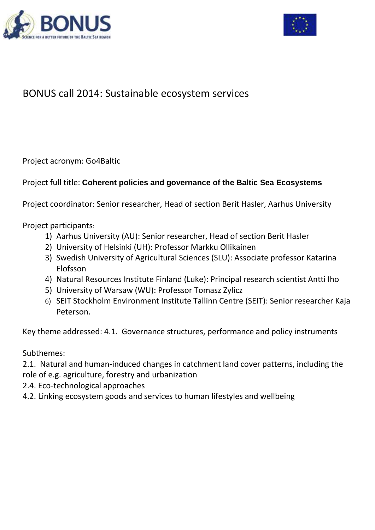



# BONUS call 2014: Sustainable ecosystem services

Project acronym: Go4Baltic

## Project full title: **Coherent policies and governance of the Baltic Sea Ecosystems**

Project coordinator: Senior researcher, Head of section Berit Hasler, Aarhus University

Project participants:

- 1) Aarhus University (AU): Senior researcher, Head of section Berit Hasler
- 2) University of Helsinki (UH): Professor Markku Ollikainen
- 3) Swedish University of Agricultural Sciences (SLU): Associate professor Katarina Elofsson
- 4) Natural Resources Institute Finland (Luke): Principal research scientist Antti Iho
- 5) University of Warsaw (WU): Professor Tomasz Zylicz
- 6) SEIT Stockholm Environment Institute Tallinn Centre (SEIT): Senior researcher Kaja Peterson.

Key theme addressed: 4.1. Governance structures, performance and policy instruments

Subthemes:

2.1. Natural and human-induced changes in catchment land cover patterns, including the role of e.g. agriculture, forestry and urbanization

- 2.4. Eco-technological approaches
- 4.2. Linking ecosystem goods and services to human lifestyles and wellbeing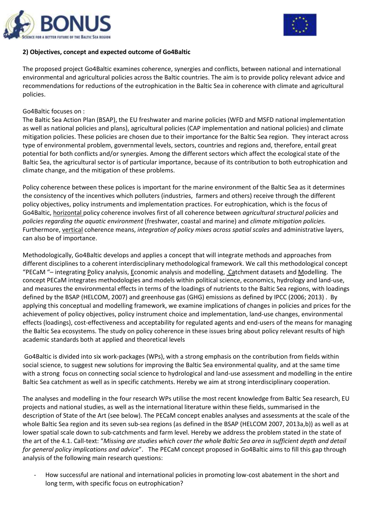



## **2) Objectives, concept and expected outcome of Go4Baltic**

The proposed project Go4Baltic examines coherence, synergies and conflicts, between national and international environmental and agricultural policies across the Baltic countries. The aim is to provide policy relevant advice and recommendations for reductions of the eutrophication in the Baltic Sea in coherence with climate and agricultural policies.

#### Go4Baltic focuses on :

The Baltic Sea Action Plan (BSAP), the EU freshwater and marine policies (WFD and MSFD national implementation as well as national policies and plans), agricultural policies (CAP implementation and national policies) and climate mitigation policies. These policies are chosen due to their importance for the Baltic Sea region. They interact across type of environmental problem, governmental levels, sectors, countries and regions and, therefore, entail great potential for both conflicts and/or synergies. Among the different sectors which affect the ecological state of the Baltic Sea, the agricultural sector is of particular importance, because of its contribution to both eutrophication and climate change, and the mitigation of these problems.

Policy coherence between these polices is important for the marine environment of the Baltic Sea as it determines the consistency of the incentives which polluters (industries, farmers and others) receive through the different policy objectives, policy instruments and implementation practices. For eutrophication, which is the focus of Go4Baltic, horizontal policy coherence involves first of all coherence between *agricultural structural policies* and *policies regarding the aquatic environment* (freshwater, coastal and marine) and *climate mitigation policies.* Furthermore, vertical coherence means, *integration of policy mixes across spatial scales* and administrative layers, can also be of importance.

Methodologically, Go4Baltic develops and applies a concept that will integrate methods and approaches from different disciplines to a coherent interdisciplinary methodological framework. We call this methodological concept "PECaM "– integrating Policy analysis, Economic analysis and modelling, Catchment datasets and Modelling. The concept PECaM integrates methodologies and models within political science, economics, hydrology and land-use, and measures the environmental effects in terms of the loadings of nutrients to the Baltic Sea regions, with loadings defined by the BSAP (HELCOM, 2007) and greenhouse gas (GHG) emissions as defined by IPCC (2006; 2013) . By applying this conceptual and modelling framework, we examine implications of changes in policies and prices for the achievement of policy objectives, policy instrument choice and implementation, land-use changes, environmental effects (loadings), cost-effectiveness and acceptability for regulated agents and end-users of the means for managing the Baltic Sea ecosystems. The study on policy coherence in these issues bring about policy relevant results of high academic standards both at applied and theoretical levels

Go4Baltic is divided into six work-packages (WPs), with a strong emphasis on the contribution from fields within social science, to suggest new solutions for improving the Baltic Sea environmental quality, and at the same time with a strong focus on connecting social science to hydrological and land-use assessment and modelling in the entire Baltic Sea catchment as well as in specific catchments. Hereby we aim at strong interdisciplinary cooperation.

The analyses and modelling in the four research WPs utilise the most recent knowledge from Baltic Sea research, EU projects and national studies, as well as the international literature within these fields, summarised in the description of State of the Art (see below). The PECaM concept enables analyses and assessments at the scale of the whole Baltic Sea region and its seven sub-sea regions (as defined in the BSAP (HELCOM 2007, 2013a,b)) as well as at lower spatial scale down to sub-catchments and farm level. Hereby we address the problem stated in the state of the art of the 4.1. Call-text: "*Missing are studies which cover the whole Baltic Sea area in sufficient depth and detail for general policy implications and advice*". The PECaM concept proposed in Go4Baltic aims to fill this gap through analysis of the following main research questions:

- How successful are national and international policies in promoting low-cost abatement in the short and long term, with specific focus on eutrophication?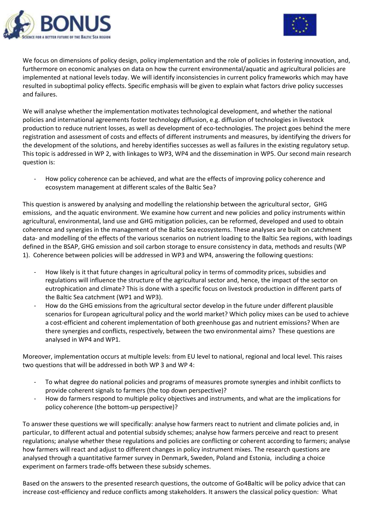



We focus on dimensions of policy design, policy implementation and the role of policies in fostering innovation, and, furthermore on economic analyses on data on how the current environmental/aquatic and agricultural policies are implemented at national levels today. We will identify inconsistencies in current policy frameworks which may have resulted in suboptimal policy effects. Specific emphasis will be given to explain what factors drive policy successes and failures.

We will analyse whether the implementation motivates technological development, and whether the national policies and international agreements foster technology diffusion, e.g. diffusion of technologies in livestock production to reduce nutrient losses, as well as development of eco-technologies. The project goes behind the mere registration and assessment of costs and effects of different instruments and measures, by identifying the drivers for the development of the solutions, and hereby identifies successes as well as failures in the existing regulatory setup. This topic is addressed in WP 2, with linkages to WP3, WP4 and the dissemination in WP5. Our second main research question is:

How policy coherence can be achieved, and what are the effects of improving policy coherence and ecosystem management at different scales of the Baltic Sea?

This question is answered by analysing and modelling the relationship between the agricultural sector, GHG emissions, and the aquatic environment. We examine how current and new policies and policy instruments within agricultural, environmental, land use and GHG mitigation policies, can be reformed, developed and used to obtain coherence and synergies in the management of the Baltic Sea ecosystems. These analyses are built on catchment data- and modelling of the effects of the various scenarios on nutrient loading to the Baltic Sea regions, with loadings defined in the BSAP, GHG emission and soil carbon storage to ensure consistency in data, methods and results (WP 1). Coherence between policies will be addressed in WP3 and WP4, answering the following questions:

- How likely is it that future changes in agricultural policy in terms of commodity prices, subsidies and regulations will influence the structure of the agricultural sector and, hence, the impact of the sector on eutrophication and climate? This is done with a specific focus on livestock production in different parts of the Baltic Sea catchment (WP1 and WP3).
- How do the GHG emissions from the agricultural sector develop in the future under different plausible scenarios for European agricultural policy and the world market? Which policy mixes can be used to achieve a cost-efficient and coherent implementation of both greenhouse gas and nutrient emissions? When are there synergies and conflicts, respectively, between the two environmental aims? These questions are analysed in WP4 and WP1.

Moreover, implementation occurs at multiple levels: from EU level to national, regional and local level. This raises two questions that will be addressed in both WP 3 and WP 4:

- To what degree do national policies and programs of measures promote synergies and inhibit conflicts to provide coherent signals to farmers (the top down perspective)?
- How do farmers respond to multiple policy objectives and instruments, and what are the implications for policy coherence (the bottom-up perspective)?

To answer these questions we will specifically: analyse how farmers react to nutrient and climate policies and, in particular, to different actual and potential subsidy schemes; analyse how farmers perceive and react to present regulations; analyse whether these regulations and policies are conflicting or coherent according to farmers; analyse how farmers will react and adjust to different changes in policy instrument mixes. The research questions are analysed through a quantitative farmer survey in Denmark, Sweden, Poland and Estonia, including a choice experiment on farmers trade-offs between these subsidy schemes.

Based on the answers to the presented research questions, the outcome of Go4Baltic will be policy advice that can increase cost-efficiency and reduce conflicts among stakeholders. It answers the classical policy question: What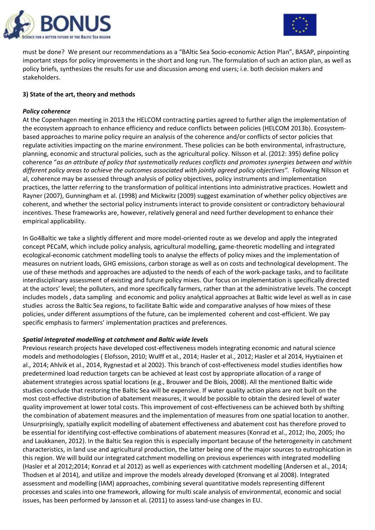



must be done? We present our recommendations as a "BAltic Sea Socio-economic Action Plan", BASAP, pinpointing important steps for policy improvements in the short and long run. The formulation of such an action plan, as well as policy briefs, synthesizes the results for use and discussion among end users; i.e. both decision makers and stakeholders.

## **3) State of the art, theory and methods**

## *Policy coherence*

At the Copenhagen meeting in 2013 the HELCOM contracting parties agreed to further align the implementation of the ecosystem approach to enhance efficiency and reduce conflicts between policies (HELCOM 2013b). Ecosystembased approaches to marine policy require an analysis of the coherence and/or conflicts of sector policies that regulate activities impacting on the marine environment. These policies can be both environmental, infrastructure, planning, economic and structural policies, such as the agricultural policy. Nilsson et al. (2012: 395) define policy coherence "*as an attribute of policy that systematically reduces conflicts and promotes synergies between and within different policy areas to achieve the outcomes associated with jointly agreed policy objectives".* Following Nilsson et al, coherence may be assessed through analysis of policy objectives, policy instruments and implementation practices, the latter referring to the transformation of political intentions into administrative practices. Howlett and Rayner (2007), Gunningham et al. (1998) and Mickwitz (2009) suggest examination of whether policy objectives are coherent, and whether the sectorial policy instruments interact to provide consistent or contradictory behavioural incentives. These frameworks are, however, relatively general and need further development to enhance their empirical applicability.

In Go4Baltic we take a slightly different and more model-oriented route as we develop and apply the integrated concept PECaM, which include policy analysis, agricultural modelling, game-theoretic modelling and integrated ecological-economic catchment modelling tools to analyse the effects of policy mixes and the implementation of measures on nutrient loads, GHG emissions, carbon storage as well as on costs and technological development. The use of these methods and approaches are adjusted to the needs of each of the work-package tasks, and to facilitate interdisciplinary assessment of existing and future policy mixes. Our focus on implementation is specifically directed at the actors' level; the polluters, and more specifically farmers, rather than at the administrative levels. The concept includes models , data sampling and economic and policy analytical approaches at Baltic wide level as well as in case studies across the Baltic Sea regions, to facilitate Baltic wide and comparative analyses of how mixes of these policies, under different assumptions of the future, can be implemented coherent and cost-efficient. We pay specific emphasis to farmers' implementation practices and preferences.

## *Spatial integrated modelling at catchment and Baltic wide levels*

Previous research projects have developed cost-effectiveness models integrating economic and natural science models and methodologies ( Elofsson, 2010; Wulff et al., 2014; Hasler et al., 2012; Hasler et al 2014, Hyytiainen et al., 2014; Ahlvik et al., 2014, Rygnestad et al 2002). This branch of cost-effectiveness model studies identifies how predetermined load reduction targets can be achieved at least cost by appropriate allocation of a range of abatement strategies across spatial locations (e.g., Brouwer and De Blois, 2008). All the mentioned Baltic wide studies conclude that restoring the Baltic Sea will be expensive. If water quality action plans are not built on the most cost-effective distribution of abatement measures, it would be possible to obtain the desired level of water quality improvement at lower total costs. This improvement of cost-effectiveness can be achieved both by shifting the combination of abatement measures and the implementation of measures from one spatial location to another. Unsurprisingly, spatially explicit modelling of abatement effectiveness and abatement cost has therefore proved to be essential for identifying cost-effective combinations of abatement measures (Konrad et al., 2012; Iho, 2005; Iho and Laukkanen, 2012). In the Baltic Sea region this is especially important because of the heterogeneity in catchment characteristics, in land use and agricultural production, the latter being one of the major sources to eutrophication in this region. We will build our integrated catchment modelling on previous experiences with integrated modelling (Hasler et al 2012;2014; Konrad et al 2012) as well as experiences with catchment modelling (Andersen et al., 2014; Thodsen et al 2014), and utilize and improve the models already developed (Kronvang et al 2008). Integrated assessment and modelling (IAM) approaches, combining several quantitative models representing different processes and scales into one framework, allowing for multi scale analysis of environmental, economic and social issues, has been performed by Jansson et al. (2011) to assess land-use changes in EU.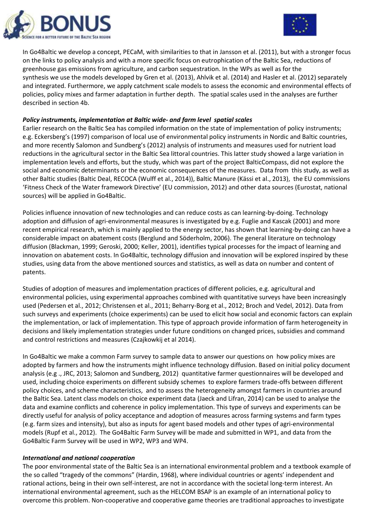



In Go4Baltic we develop a concept, PECaM, with similarities to that in Jansson et al. (2011), but with a stronger focus on the links to policy analysis and with a more specific focus on eutrophication of the Baltic Sea, reductions of greenhouse gas emissions from agriculture, and carbon sequestration. In the WPs as well as for the synthesis we use the models developed by Gren et al. (2013), Ahlvik et al. (2014) and Hasler et al. (2012) separately and integrated. Furthermore, we apply catchment scale models to assess the economic and environmental effects of policies, policy mixes and farmer adaptation in further depth. The spatial scales used in the analyses are further described in section 4b.

## *Policy instruments, implementation at Baltic wide- and farm level spatial scales*

Earlier research on the Baltic Sea has compiled information on the state of implementation of policy instruments; e.g. Eckersberg's (1997) comparison of local use of environmental policy instruments in Nordic and Baltic countries, and more recently Salomon and Sundberg's (2012) analysis of instruments and measures used for nutrient load reductions in the agricultural sector in the Baltic Sea littoral countries. This latter study showed a large variation in implementation levels and efforts, but the study, which was part of the project BalticCompass, did not explore the social and economic determinants or the economic consequences of the measures. Data from this study, as well as other Baltic studies (Baltic Deal, RECOCA (Wulff et al., 2014)), Baltic Manure (Kässi et al., 2013), the EU commissions 'Fitness Check of the Water framework Directive' (EU commission, 2012) and other data sources (Eurostat, national sources) will be applied in Go4Baltic.

Policies influence innovation of new technologies and can reduce costs as can learning-by-doing. Technology adoption and diffusion of agri-environmental measures is investigated by e.g. Fuglie and Kascak (2001) and more recent empirical research, which is mainly applied to the energy sector, has shown that learning-by-doing can have a considerable impact on abatement costs (Berglund and Söderholm, 2006). The general literature on technology diffusion (Blackman, 1999; Geroski, 2000; Keller, 2001), identifies typical processes for the impact of learning and innovation on abatement costs. In Go4Baltic, technology diffusion and innovation will be explored inspired by these studies, using data from the above mentioned sources and statistics, as well as data on number and content of patents.

Studies of adoption of measures and implementation practices of different policies, e.g. agricultural and environmental policies, using experimental approaches combined with quantitative surveys have been increasingly used (Pedersen et al., 2012; Christensen et al., 2011; Beharry-Borg et al., 2012; Broch and Vedel, 2012). Data from such surveys and experiments (choice experiments) can be used to elicit how social and economic factors can explain the implementation, or lack of implementation. This type of approach provide information of farm heterogeneity in decisions and likely implementation strategies under future conditions on changed prices, subsidies and command and control restrictions and measures (Czajkowkij et al 2014).

In Go4Baltic we make a common Farm survey to sample data to answer our questions on how policy mixes are adopted by farmers and how the instruments might influence technology diffusion. Based on initial policy document analysis (e.g ., JRC, 2013; Salomon and Sundberg, 2012) quantitative farmer questionnaires will be developed and used, including choice experiments on different subsidy schemes to explore farmers trade-offs between different policy choices, and scheme characteristics, and to assess the heterogeneity amongst farmers in countries around the Baltic Sea. Latent class models on choice experiment data (Jaeck and Lifran, 2014) can be used to analyse the data and examine conflicts and coherence in policy implementation. This type of surveys and experiments can be directly useful for analysis of policy acceptance and adoption of measures across farming systems and farm types (e.g. farm sizes and intensity), but also as inputs for agent based models and other types of agri-environmental models (Rupf et al., 2012). The Go4Baltic Farm Survey will be made and submitted in WP1, and data from the Go4Baltic Farm Survey will be used in WP2, WP3 and WP4.

#### *International and national cooperation*

The poor environmental state of the Baltic Sea is an international environmental problem and a textbook example of the so called "tragedy of the commons" (Hardin, 1968), where individual countries or agents' independent and rational actions, being in their own self-interest, are not in accordance with the societal long-term interest. An international environmental agreement, such as the HELCOM BSAP is an example of an international policy to overcome this problem. Non-cooperative and cooperative game theories are traditional approaches to investigate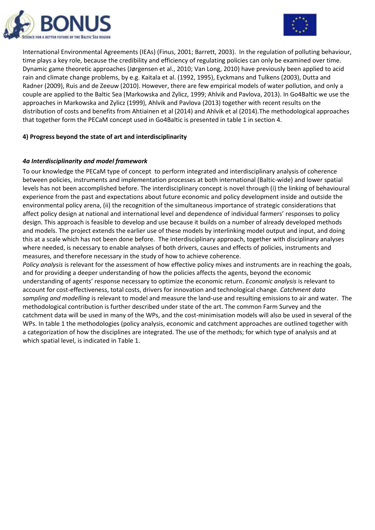



International Environmental Agreements (IEAs) (Finus, 2001; Barrett, 2003). In the regulation of polluting behaviour, time plays a key role, because the credibility and efficiency of regulating policies can only be examined over time. Dynamic game theoretic approaches (Jørgensen et al., 2010; Van Long, 2010) have previously been applied to acid rain and climate change problems, by e.g. Kaitala et al. (1992, 1995), Eyckmans and Tulkens (2003), Dutta and Radner (2009), Ruis and de Zeeuw (2010). However, there are few empirical models of water pollution, and only a couple are applied to the Baltic Sea (Markowska and Zylicz, 1999; Ahlvik and Pavlova, 2013). In Go4Baltic we use the approaches in Markowska and Zylicz (1999), Ahlvik and Pavlova (2013) together with recent results on the distribution of costs and benefits from Ahtiainen et al (2014) and Ahlvik et al (2014).The methodological approaches that together form the PECaM concept used in Go4Baltic is presented in table 1 in section 4.

## **4) Progress beyond the state of art and interdisciplinarity**

## *4a Interdisciplinarity and model framework*

To our knowledge the PECaM type of concept to perform integrated and interdisciplinary analysis of coherence between policies, instruments and implementation processes at both international (Baltic-wide) and lower spatial levels has not been accomplished before. The interdisciplinary concept is novel through (i) the linking of behavioural experience from the past and expectations about future economic and policy development inside and outside the environmental policy arena, (ii) the recognition of the simultaneous importance of strategic considerations that affect policy design at national and international level and dependence of individual farmers' responses to policy design. This approach is feasible to develop and use because it builds on a number of already developed methods and models. The project extends the earlier use of these models by interlinking model output and input, and doing this at a scale which has not been done before. The interdisciplinary approach, together with disciplinary analyses where needed, is necessary to enable analyses of both drivers, causes and effects of policies, instruments and measures, and therefore necessary in the study of how to achieve coherence.

*Policy analysis* is relevant for the assessment of how effective policy mixes and instruments are in reaching the goals, and for providing a deeper understanding of how the policies affects the agents, beyond the economic understanding of agents' response necessary to optimize the economic return. *Economic analysis* is relevant to account for cost-effectiveness, total costs, drivers for innovation and technological change. *Catchment data sampling and modelling* is relevant to model and measure the land-use and resulting emissions to air and water. The methodological contribution is further described under state of the art. The common Farm Survey and the catchment data will be used in many of the WPs, and the cost-minimisation models will also be used in several of the WPs. In table 1 the methodologies (policy analysis, economic and catchment approaches are outlined together with a categorization of how the disciplines are integrated. The use of the methods; for which type of analysis and at which spatial level, is indicated in Table 1.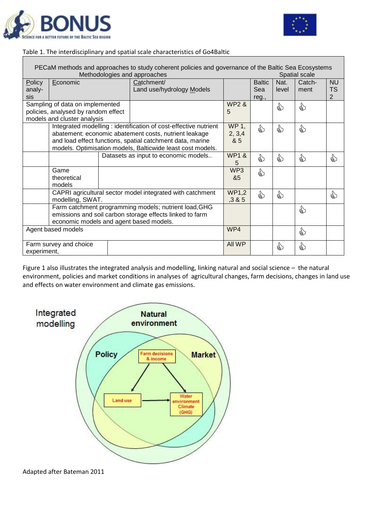



## Table 1. The interdisciplinary and spatial scale characteristics of Go4Baltic

| PECaM methods and approaches to study coherent policies and governance of the Baltic Sea Ecosystems<br>Methodologies and approaches<br>Spatial scale |                                                          |  |                                                                  |                  |               |       |        |           |
|------------------------------------------------------------------------------------------------------------------------------------------------------|----------------------------------------------------------|--|------------------------------------------------------------------|------------------|---------------|-------|--------|-----------|
| Policy                                                                                                                                               | Economic                                                 |  | Catchment/                                                       |                  | <b>Baltic</b> | Nat.  | Catch- | <b>NU</b> |
| analy-                                                                                                                                               |                                                          |  | Land use/hydrology Models                                        |                  | Sea           | level | ment   | TS        |
| sis                                                                                                                                                  |                                                          |  |                                                                  |                  | reg.,         |       |        | 2         |
|                                                                                                                                                      | Sampling of data on implemented                          |  |                                                                  | <b>WP2 &amp;</b> |               | €     | ☝      |           |
|                                                                                                                                                      | policies, analysed by random effect                      |  |                                                                  | 5                |               |       |        |           |
|                                                                                                                                                      | models and cluster analysis                              |  |                                                                  |                  |               |       |        |           |
|                                                                                                                                                      |                                                          |  | Integrated modelling : identification of cost-effective nutrient | WP 1,            | €             | ☝     | ☝      |           |
|                                                                                                                                                      |                                                          |  | abatement: economic abatement costs, nutrient leakage            | 2, 3, 4          |               |       |        |           |
|                                                                                                                                                      |                                                          |  | and load effect functions, spatial catchment data, marine        | & 5              |               |       |        |           |
|                                                                                                                                                      |                                                          |  | models. Optimisation models, Balticwide least cost models.       |                  |               |       |        |           |
|                                                                                                                                                      |                                                          |  | Datasets as input to economic models                             | <b>WP1 &amp;</b> | €             | €     | €      | €         |
|                                                                                                                                                      |                                                          |  |                                                                  | 5                |               |       |        |           |
|                                                                                                                                                      | Game                                                     |  |                                                                  | WP3              | ☝             |       |        |           |
|                                                                                                                                                      | theoretical                                              |  |                                                                  | &5               |               |       |        |           |
|                                                                                                                                                      | models                                                   |  |                                                                  |                  |               |       |        |           |
|                                                                                                                                                      |                                                          |  | CAPRI agricultural sector model integrated with catchment        | <b>WP1,2</b>     | €             | ☝     |        | €         |
|                                                                                                                                                      | modelling, SWAT.                                         |  |                                                                  | ,3 & 5           |               |       |        |           |
|                                                                                                                                                      |                                                          |  | Farm catchment programming models; nutrient load, GHG            |                  |               |       | ₷      |           |
|                                                                                                                                                      | emissions and soil carbon storage effects linked to farm |  |                                                                  |                  |               |       |        |           |
|                                                                                                                                                      | economic models and agent based models.                  |  |                                                                  |                  |               |       |        |           |
| Agent based models                                                                                                                                   |                                                          |  |                                                                  |                  |               |       | €      |           |
|                                                                                                                                                      |                                                          |  |                                                                  |                  |               |       |        |           |
|                                                                                                                                                      | Farm survey and choice                                   |  |                                                                  | All WP           |               | €     | €      |           |
| experiment,                                                                                                                                          |                                                          |  |                                                                  |                  |               |       |        |           |

Figure 1 also illustrates the integrated analysis and modelling, linking natural and social science – the natural environment, policies and market conditions in analyses of agricultural changes, farm decisions, changes in land use and effects on water environment and climate gas emissions.



Adapted after Bateman 2011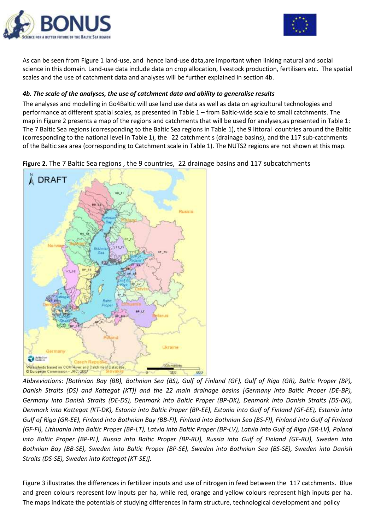



As can be seen from Figure 1 land-use, and hence land-use data,are important when linking natural and social science in this domain. Land-use data include data on crop allocation, livestock production, fertilisers etc. The spatial scales and the use of catchment data and analyses will be further explained in section 4b.

## *4b. The scale of the analyses, the use of catchment data and ability to generalise results*

The analyses and modelling in Go4Baltic will use land use data as well as data on agricultural technologies and performance at different spatial scales, as presented in Table 1 – from Baltic-wide scale to small catchments. The map in Figure 2 presents a map of the regions and catchments that will be used for analyses,as presented in Table 1: The 7 Baltic Sea regions (corresponding to the Baltic Sea regions in Table 1), the 9 littoral countries around the Baltic (corresponding to the national level in Table 1), the 22 catchment s (drainage basins), and the 117 sub-catchments of the Baltic sea area (corresponding to Catchment scale in Table 1). The NUTS2 regions are not shown at this map.

**Figure 2.** The 7 Baltic Sea regions , the 9 countries, 22 drainage basins and 117 subcatchments



*Abbreviations: [Bothnian Bay (BB), Bothnian Sea (BS), Gulf of Finland (GF), Gulf of Riga (GR), Baltic Proper (BP), Danish Straits (DS) and Kattegat (KT)] and the 22 main drainage basins [Germany into Baltic Proper (DE-BP), Germany into Danish Straits (DE-DS), Denmark into Baltic Proper (BP-DK), Denmark into Danish Straits (DS-DK), Denmark into Kattegat (KT-DK), Estonia into Baltic Proper (BP-EE), Estonia into Gulf of Finland (GF-EE), Estonia into Gulf of Riga (GR-EE), Finland into Bothnian Bay (BB-FI), Finland into Bothnian Sea (BS-FI), Finland into Gulf of Finland (GF-FI), Lithuania into Baltic Proper (BP-LT), Latvia into Baltic Proper (BP-LV), Latvia into Gulf of Riga (GR-LV), Poland into Baltic Proper (BP-PL), Russia into Baltic Proper (BP-RU), Russia into Gulf of Finland (GF-RU), Sweden into Bothnian Bay (BB-SE), Sweden into Baltic Proper (BP-SE), Sweden into Bothnian Sea (BS-SE), Sweden into Danish Straits (DS-SE), Sweden into Kattegat (KT-SE)].*

Figure 3 illustrates the differences in fertilizer inputs and use of nitrogen in feed between the 117 catchments. Blue and green colours represent low inputs per ha, while red, orange and yellow colours represent high inputs per ha. The maps indicate the potentials of studying differences in farm structure, technological development and policy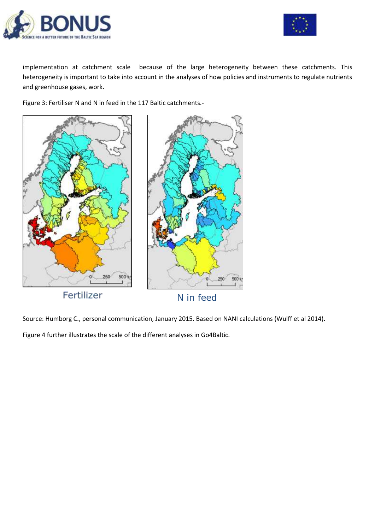



implementation at catchment scale because of the large heterogeneity between these catchments. This heterogeneity is important to take into account in the analyses of how policies and instruments to regulate nutrients and greenhouse gases, work.

Figure 3: Fertiliser N and N in feed in the 117 Baltic catchments.-



Source: Humborg C., personal communication, January 2015. Based on NANI calculations (Wulff et al 2014).

Figure 4 further illustrates the scale of the different analyses in Go4Baltic.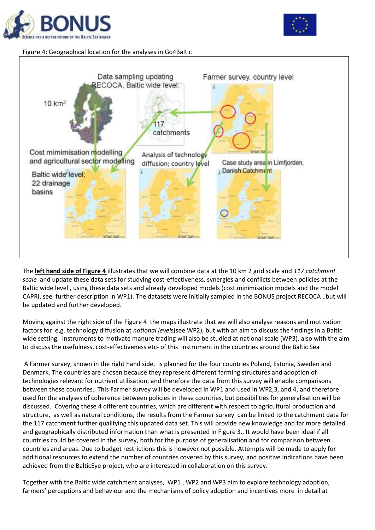



## Figure 4: Geographical location for the analyses in Go4Baltic



The **left hand side of Figure 4** illustrates that we will combine data at the 10 km 2 grid scale and *117 catchment scale* and update these data sets for studying cost-effectiveness, synergies and conflicts between policies at the Baltic wide level , using these data sets and already developed models (cost.minimisation models and the model CAPRI, see further description in WP1). The datasets were initially sampled in the BONUS project RECOCA , but will be updated and further developed.

Moving against the right side of the Figure 4 the maps illustrate that we will also analyse reasons and motivation factors for e,g. technology diffusion at *national level*s(see WP2), but with an aim to discuss the findings in a Baltic wide setting. Instruments to motivate manure trading will also be studied at national scale (WP3), also with the aim to discuss the usefulness, cost-effectiveness etc- of this instrument in the countries around the Baltic Sea .

A Farmer survey, shown in the right hand side, is planned for the four countries Poland, Estonia, Sweden and Denmark. The countries are chosen because they represent different farming structures and adoption of technologies relevant for nutrient utilisation, and therefore the data from this survey will enable comparisons between these countries. This Farmer survey will be developed in WP1 and used in WP2,3, and 4, and therefore used for the analyses of coherence between policies in these countries, but possibilities for generalisation will be discussed. Covering these 4 different countries, which are different with respect to agricultural production and structure, as well as natural conditions, the results from the Farmer survey can be linked to the catchment data for the 117 catchment further qualifying this updated data set. This will provide new knowledge and far more detailed and geographically distributed information than what is presented in Figure 3.. It would have been ideal if all countries could be covered in the survey, both for the purpose of generalisation and for comparison between countries and areas. Due to budget restrictions this is however not possible. Attempts will be made to apply for additional resources to extend the number of countries covered by this survey, and positive indications have been achieved from the BalticEye project, who are interested in collaboration on this survey.

Together with the Baltic wide catchment analyses, WP1 , WP2 and WP3 aim to explore technology adoption, farmers' perceptions and behaviour and the mechanisms of policy adoption and incentives more in detail at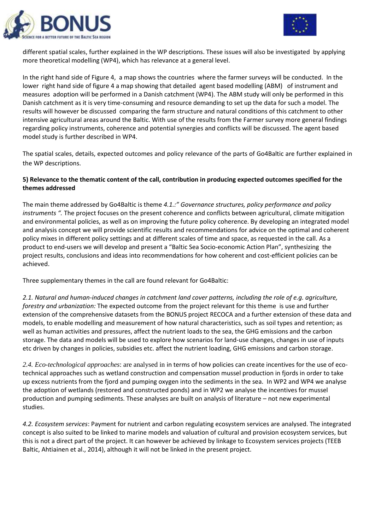



different spatial scales, further explained in the WP descriptions. These issues will also be investigated by applying more theoretical modelling (WP4), which has relevance at a general level.

In the right hand side of Figure 4, a map shows the countries where the farmer surveys will be conducted. In the lower right hand side of figure 4 a map showing that detailed agent based modelling (ABM) of instrument and measures adoption will be performed in a Danish catchment (WP4). The ABM study will only be performed in this Danish catchment as it is very time-consuming and resource demanding to set up the data for such a model. The results will however be discussed comparing the farm structure and natural conditions of this catchment to other intensive agricultural areas around the Baltic. With use of the results from the Farmer survey more general findings regarding policy instruments, coherence and potential synergies and conflicts will be discussed. The agent based model study is further described in WP4.

The spatial scales, details, expected outcomes and policy relevance of the parts of Go4Baltic are further explained in the WP descriptions.

## **5) Relevance to the thematic content of the call, contribution in producing expected outcomes specified for the themes addressed**

The main theme addressed by Go4Baltic is theme *4.1.:" Governance structures, policy performance and policy instruments ".* The project focuses on the present coherence and conflicts between agricultural, climate mitigation and environmental policies, as well as on improving the future policy coherence. By developing an integrated model and analysis concept we will provide scientific results and recommendations for advice on the optimal and coherent policy mixes in different policy settings and at different scales of time and space, as requested in the call. As a product to end-users we will develop and present a "Baltic Sea Socio-economic Action Plan", synthesizing the project results, conclusions and ideas into recommendations for how coherent and cost-efficient policies can be achieved.

Three supplementary themes in the call are found relevant for Go4Baltic:

*2.1. Natural and human-induced changes in catchment land cover patterns, including the role of e.g. agriculture, forestry and urbanization:* The expected outcome from the project relevant for this theme is use and further extension of the comprehensive datasets from the BONUS project RECOCA and a further extension of these data and models, to enable modelling and measurement of how natural characteristics, such as soil types and retention; as well as human activities and pressures, affect the nutrient loads to the sea, the GHG emissions and the carbon storage. The data and models will be used to explore how scenarios for land-use changes, changes in use of inputs etc driven by changes in policies, subsidies etc. affect the nutrient loading, GHG emissions and carbon storage.

*2.4. Eco-technological approaches*: are analysed in in terms of how policies can create incentives for the use of ecotechnical approaches such as wetland construction and compensation mussel production in fjords in order to take up excess nutrients from the fjord and pumping oxygen into the sediments in the sea. In WP2 and WP4 we analyse the adoption of wetlands (restored and constructed ponds) and in WP2 we analyse the incentives for mussel production and pumping sediments. These analyses are built on analysis of literature – not new experimental studies.

*4.2. Ecosystem services*: Payment for nutrient and carbon regulating ecosystem services are analysed. The integrated concept is also suited to be linked to marine models and valuation of cultural and provision ecosystem services, but this is not a direct part of the project. It can however be achieved by linkage to Ecosystem services projects (TEEB Baltic, Ahtiainen et al., 2014), although it will not be linked in the present project.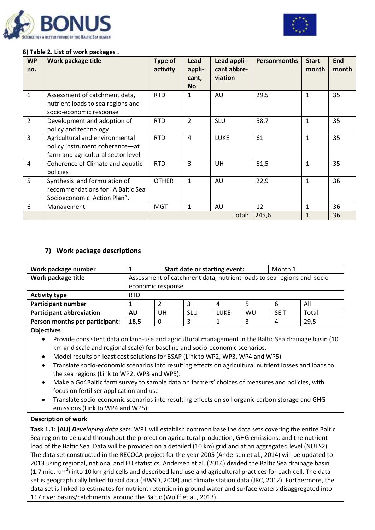



## **6) Table 2. List of work packages .**

| <b>WP</b><br>no. | Work package title                 | Type of<br>activity | Lead<br>appli-<br>cant,<br><b>No</b> | Lead appli-<br>cant abbre-<br>viation | <b>Personmonths</b> | <b>Start</b><br>month | End<br>month |
|------------------|------------------------------------|---------------------|--------------------------------------|---------------------------------------|---------------------|-----------------------|--------------|
| $\mathbf 1$      | Assessment of catchment data,      | <b>RTD</b>          | 1                                    | AU                                    | 29,5                | $\mathbf{1}$          | 35           |
|                  | nutrient loads to sea regions and  |                     |                                      |                                       |                     |                       |              |
|                  | socio-economic response            |                     |                                      |                                       |                     |                       |              |
| $\overline{2}$   | Development and adoption of        | <b>RTD</b>          | $\overline{2}$                       | <b>SLU</b>                            | 58,7                | 1                     | 35           |
|                  | policy and technology              |                     |                                      |                                       |                     |                       |              |
| $\overline{3}$   | Agricultural and environmental     | <b>RTD</b>          | $\overline{4}$                       | <b>LUKE</b>                           | 61                  | $\mathbf{1}$          | 35           |
|                  | policy instrument coherence-at     |                     |                                      |                                       |                     |                       |              |
|                  | farm and agricultural sector level |                     |                                      |                                       |                     |                       |              |
| 4                | Coherence of Climate and aquatic   | <b>RTD</b>          | 3                                    | UH                                    | 61,5                | $\mathbf{1}$          | 35           |
|                  | policies                           |                     |                                      |                                       |                     |                       |              |
| 5                | Synthesis and formulation of       | <b>OTHER</b>        | $\mathbf{1}$                         | AU                                    | 22,9                | $\mathbf{1}$          | 36           |
|                  | recommendations for "A Baltic Sea  |                     |                                      |                                       |                     |                       |              |
|                  | Socioeconomic Action Plan".        |                     |                                      |                                       |                     |                       |              |
| 6                | Management                         | <b>MGT</b>          | $\mathbf{1}$                         | AU                                    | 12                  | 1                     | 36           |
|                  |                                    |                     |                                      | Total:                                | 245,6               | $\mathbf{1}$          | 36           |

## **7) Work package descriptions**

| Work package number             |                                                                        | Start date or starting event: | Month 1    |      |    |             |       |  |
|---------------------------------|------------------------------------------------------------------------|-------------------------------|------------|------|----|-------------|-------|--|
| Work package title              | Assessment of catchment data, nutrient loads to sea regions and socio- |                               |            |      |    |             |       |  |
|                                 |                                                                        | economic response             |            |      |    |             |       |  |
| <b>Activity type</b>            | <b>RTD</b>                                                             |                               |            |      |    |             |       |  |
| <b>Participant number</b>       |                                                                        |                               |            | 4    |    | b           | All   |  |
| <b>Participant abbreviation</b> | AU                                                                     | UН                            | <b>SLU</b> | LUKE | WU | <b>SEIT</b> | Total |  |
| Person months per participant:  | 29,5<br>18,5<br>0<br>4                                                 |                               |            |      |    |             |       |  |
|                                 |                                                                        |                               |            |      |    |             |       |  |

#### **Objectives**

 Provide consistent data on land-use and agricultural management in the Baltic Sea drainage basin (10 km grid scale and regional scale) for baseline and socio-economic scenarios.

- Model results on least cost solutions for BSAP (Link to WP2, WP3, WP4 and WP5).
- Translate socio-economic scenarios into resulting effects on agricultural nutrient losses and loads to the sea regions (Link to WP2, WP3 and WP5).
- Make a Go4Baltic farm survey to sample data on farmers' choices of measures and policies, with focus on fertiliser application and use
- Translate socio-economic scenarios into resulting effects on soil organic carbon storage and GHG emissions (Link to WP4 and WP5).

## **Description of work**

**Task 1.1: (AU)** *Developing data sets.* WP1 will establish common baseline data sets covering the entire Baltic Sea region to be used throughout the project on agricultural production, GHG emissions, and the nutrient load of the Baltic Sea. Data will be provided on a detailed (10 km) grid and at an aggregated level (NUTS2). The data set constructed in the RECOCA project for the year 2005 (Andersen et al., 2014) will be updated to 2013 using regional, national and EU statistics. Andersen et al. (2014) divided the Baltic Sea drainage basin (1.7 mio. km<sup>2</sup>) into 10 km grid cells and described land use and agricultural practices for each cell. The data set is geographically linked to soil data (HWSD, 2008) and climate station data (JRC, 2012). Furthermore, the data set is linked to estimates for nutrient retention in ground water and surface waters disaggregated into 117 river basins/catchments around the Baltic (Wulff et al., 2013).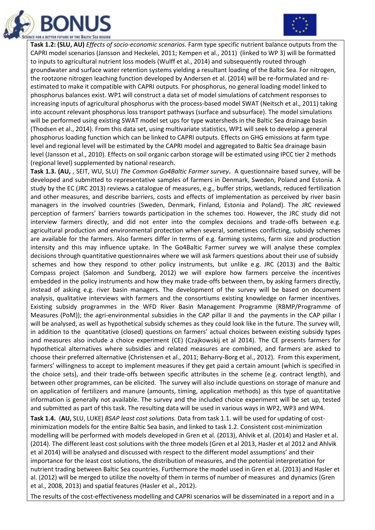



**Task 1.2: (SLU, AU)** *Effects of socio-economic scenarios.* Farm type specific nutrient balance outputs from the CAPRI model scenarios (Jansson and Heckelei, 2011; Kempen et al., 2011) (linked to WP 3) will be formatted to inputs to agricultural nutrient loss models (Wulff et al., 2014) and subsequently routed through groundwater and surface water retention systems yielding a resultant loading of the Baltic Sea. For nitrogen, the rootzone nitrogen leaching function developed by Andersen et al. (2014) will be re-formulated and reestimated to make it compatible with CAPRI outputs. For phosphorus, no general loading model linked to phosphorus balances exist. WP1 will construct a data set of model simulations of catchment responses to increasing inputs of agricultural phosphorus with the process-based model SWAT (Neitsch et al., 2011) taking into account relevant phosphorus loss transport pathways (surface and subsurface). The model simulations will be performed using existing SWAT model set ups for type watersheds in the Baltic Sea drainage basin (Thodsen et al., 2014). From this data set, using multivariate statistics, WP1 will seek to develop a general phosphorus loading function which can be linked to CAPRI outputs. Effects on GHG emissions at farm type level and regional level will be estimated by the CAPRI model and aggregated to Baltic Sea drainage basin level (Jansson et al., 2010). Effects on soil organic carbon storage will be estimated using IPCC tier 2 methods (regional level) supplemented by national research.

**Task 1.3. (AU,** , SEIT, WU, SLU) *The Common Go4Baltic Farmer survey***.** A questionnaire based survey, will be developed and submitted to representative samples of farmers in Denmark, Sweden, Poland and Estonia. A study by the EC (JRC 2013) reviews a catalogue of measures, e.g., buffer strips, wetlands, reduced fertilization and other measures, and describe barriers, costs and effects of implementation as perceived by river basin managers in the involved countries (Sweden, Denmark, Finland, Estonia and Poland). The JRC reviewed perception of farmers' barriers towards participation in the schemes too. However, the JRC study did not interview farmers directly, and did not enter into the complex decisions and trade-offs between e.g. agricultural production and environmental protection when several, sometimes conflicting, subsidy schemes are available for the farmers. Also farmers differ in terms of e.g. farming systems, farm size and production intensity and this may influence uptake. In The Go4Baltic Farmer survey we will analyse these complex decisions through quantitative questionnaires where we will ask farmers questions about their use of subsidy schemes and how they respond to other policy instruments, but unlike e.g. JRC (2013) and the Baltic Compass project (Salomon and Sundberg, 2012) we will explore how farmers perceive the incentives embedded in the policy instruments and how they make trade-offs between them, by asking farmers directly, instead of asking e.g. river basin managers. The development of the survey will be based on document analysis, qualitative interviews with farmers and the consortiums existing knowledge on farmer incentives. Existing subsidy programmes in the WFD River Basin Management Programme (RBMP/Programme of Measures (PoM)); the agri-environmental subsidies in the CAP pillar II and the payments in the CAP pillar I will be analysed, as well as hypothetical subsidy schemes as they could look like in the future. The survey will, in addition to the quantitative (closed) questions on farmers' actual choices between existing subsidy types and measures also include a choice experiment (CE) (Czajkowskij et al 2014). The CE presents farmers for hypothetical alternatives where subsidies and related measures are combined, and farmers are asked to choose their preferred alternative (Christensen et al., 2011; Beharry-Borg et al., 2012). From this experiment, farmers' willingness to accept to implement measures if they get paid a certain amount (which is specified in the choice sets), and their trade-offs between specific attributes in the scheme (e.g. contract length), and between other programmes, can be elicited. The survey will also include questions on storage of manure and on application of fertilizers and manure (amounts, timing, application methods) as this type of quantitative information is generally not available. The survey and the included choice experiment will be set up, tested and submitted as part of this task. The resulting data will be used in various ways in WP2, WP3 and WP4.

**Task 1.4.** (**AU,** SLU, LUKE) *BSAP least cost solutions.* Data from task 1.1. will be used for updating of costminimization models for the entire Baltic Sea basin, and linked to task 1.2. Consistent cost-minimization modelling will be performed with models developed in Gren et al. (2013), Ahlvik et al. (2014) and Hasler et al. (2014). The different least cost solutions with the three models (Gren et al 2013, Hasler et al 2012 and Ahlvik et al 2014) will be analysed and discussed with respect to the different model assumptions' and their importance for the least cost solutions, the distribution of measures, and the potential interpretation for nutrient trading between Baltic Sea countries. Furthermore the model used in Gren et al. (2013) and Hasler et al. (2012) will be merged to utilize the novelty of them in terms of number of measures and dynamics (Gren et al., 2008, 2013) and spatial features (Hasler et al., 2012).

The results of the cost-effectiveness modelling and CAPRI scenarios will be disseminated in a report and in a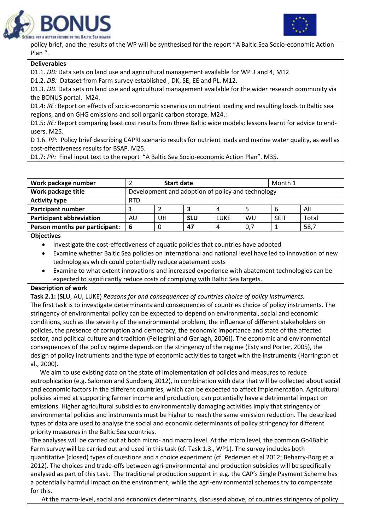



policy brief, and the results of the WP will be synthesised for the report "A Baltic Sea Socio-economic Action Plan ".

#### **Deliverables**

D1.1. *DB:* Data sets on land use and agricultural management available for WP 3 and 4, M12

D1.2. *DB:* Dataset from Farm survey established , DK, SE, EE and PL. M12.

D1.3. *DB*. Data sets on land use and agricultural management available for the wider research community via the BONUS portal. M24.

D1.4: *RE*: Report on effects of socio-economic scenarios on nutrient loading and resulting loads to Baltic sea regions, and on GHG emissions and soil organic carbon storage. M24.:

D1.5: RE: Report comparing least cost results from three Baltic wide models; lessons learnt for advice to endusers. M25.

D 1.6. *PP:* Policy brief describing CAPRI scenario results for nutrient loads and marine water quality, as well as cost-effectiveness results for BSAP. M25.

D1.7: *PP:* Final input text to the report "A Baltic Sea Socio-economic Action Plan". M35.

| Work package number             |                                                   | <b>Start date</b> |            |             |     |             | Month 1 |  |  |
|---------------------------------|---------------------------------------------------|-------------------|------------|-------------|-----|-------------|---------|--|--|
| Work package title              | Development and adoption of policy and technology |                   |            |             |     |             |         |  |  |
| <b>Activity type</b>            | <b>RTD</b>                                        |                   |            |             |     |             |         |  |  |
| <b>Partcipant number</b>        |                                                   |                   | 3          | 4           |     | b           | All     |  |  |
| <b>Participant abbreviation</b> | AU                                                | UH                | <b>SLU</b> | <b>LUKE</b> | WU  | <b>SEIT</b> | Total   |  |  |
| Person months per participant:  | 6                                                 |                   | 47         | 4           | 0,7 |             | 58,7    |  |  |
|                                 |                                                   |                   |            |             |     |             |         |  |  |

#### **Objectives**

- Investigate the cost-effectiveness of aquatic policies that countries have adopted
- Examine whether Baltic Sea policies on international and national level have led to innovation of new technologies which could potentially reduce abatement costs
- Examine to what extent innovations and increased experience with abatement technologies can be expected to significantly reduce costs of complying with Baltic Sea targets.

## **Description of work**

**Task 2.1:** (**SLU**, AU, LUKE) *Reasons for and consequences of countries choice of policy instruments.*  The first task is to investigate determinants and consequences of countries choice of policy instruments. The stringency of environmental policy can be expected to depend on environmental, social and economic conditions, such as the severity of the environmental problem, the influence of different stakeholders on policies, the presence of corruption and democracy, the economic importance and state of the affected sector, and political culture and tradition (Pellegrini and Gerlagh, 2006)). The economic and environmental consequences of the policy regime depends on the stringency of the regime (Esty and Porter, 2005), the design of policy instruments and the type of economic activities to target with the instruments (Harrington et al., 2000).

 We aim to use existing data on the state of implementation of policies and measures to reduce eutrophication (e.g. Salomon and Sundberg 2012), in combination with data that will be collected about social and economic factors in the different countries, which can be expected to affect implementation. Agricultural policies aimed at supporting farmer income and production, can potentially have a detrimental impact on emissions. Higher agricultural subsidies to environmentally damaging activities imply that stringency of environmental policies and instruments must be higher to reach the same emission reduction. The described types of data are used to analyse the social and economic determinants of policy stringency for different priority measures in the Baltic Sea countries.

The analyses will be carried out at both micro- and macro level. At the micro level, the common Go4Baltic Farm survey will be carried out and used in this task (cf. Task 1.3., WP1). The survey includes both quantitative (closed) types of questions and a choice experiment (cf. Pedersen et al 2012; Beharry-Borg et al 2012). The choices and trade-offs between agri-environmental and production subsidies will be specifically analysed as part of this task. The traditional production support in e.g. the CAP's Single Payment Scheme has a potentially harmful impact on the environment, while the agri-environmental schemes try to compensate for this.

At the macro-level, social and economics determinants, discussed above, of countries stringency of policy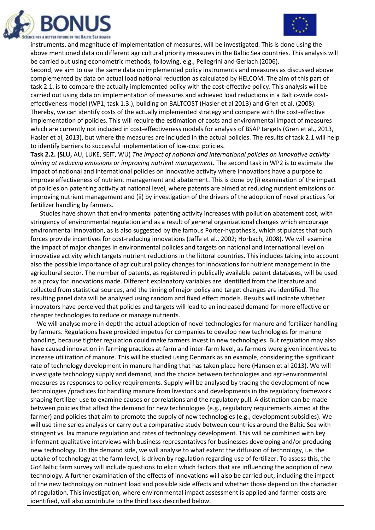



instruments, and magnitude of implementation of measures, will be investigated. This is done using the above mentioned data on different agricultural priority measures in the Baltic Sea countries. This analysis will be carried out using econometric methods, following, e.g., Pellegrini and Gerlach (2006).

Second, we aim to use the same data on implemented policy instruments and measures as discussed above complemented by data on actual load national reduction as calculated by HELCOM. The aim of this part of task 2.1. is to compare the actually implemented policy with the cost-effective policy. This analysis will be carried out using data on implementation of measures and achieved load reductions in a Baltic-wide costeffectiveness model (WP1, task 1.3.), building on BALTCOST (Hasler et al 2013) and Gren et al. (2008). Thereby, we can identify costs of the actually implemented strategy and compare with the cost-effective implementation of policies. This will require the estimation of costs and environmental impact of measures which are currently not included in cost-effectiveness models for analysis of BSAP targets (Gren et al., 2013, Hasler et al, 2013), but where the measures are included in the actual policies. The results of task 2.1 will help to identify barriers to successful implementation of low-cost policies.

**Task 2.2. (SLU,** AU, LUKE, SEIT, WU) *The impact of national and international policies on innovative activity aiming at reducing emissions or improving nutrient management.* The second task in WP2 is to estimate the impact of national and international policies on innovative activity where innovations have a purpose to improve effectiveness of nutrient management and abatement. This is done by (i) examination of the impact of policies on patenting activity at national level, where patents are aimed at reducing nutrient emissions or improving nutrient management and (ii) by investigation of the drivers of the adoption of novel practices for fertilizer handling by farmers.

 Studies have shown that environmental patenting activity increases with pollution abatement cost, with stringency of environmental regulation and as a result of general organizational changes which encourage environmental innovation, as is also suggested by the famous Porter-hypothesis, which stipulates that such forces provide incentives for cost-reducing innovations (Jaffe et al., 2002; Horbach, 2008). We will examine the impact of major changes in environmental policies and targets on national and international level on innovative activity which targets nutrient reductions in the littoral countries. This includes taking into account also the possible importance of agricultural policy changes for innovations for nutrient management in the agricultural sector. The number of patents, as registered in publically available patent databases, will be used as a proxy for innovations made. Different explanatory variables are identified from the literature and collected from statistical sources, and the timing of major policy and target changes are identified. The resulting panel data will be analysed using random and fixed effect models. Results will indicate whether innovators have perceived that policies and targets will lead to an increased demand for more effective or cheaper technologies to reduce or manage nutrients.

 We will analyse more in-depth the actual adoption of novel technologies for manure and fertilizer handling by farmers. Regulations have provided impetus for companies to develop new technologies for manure handling, because tighter regulation could make farmers invest in new technologies. But regulation may also have caused innovation in farming practices at farm and inter-farm level, as farmers were given incentives to increase utilization of manure. This will be studied using Denmark as an example, considering the significant rate of technology development in manure handling that has taken place here (Hansen et al 2013). We will investigate technology supply and demand, and the choice between technologies and agri-environmental measures as responses to policy requirements. Supply will be analysed by tracing the development of new technologies /practices for handling manure from livestock and developments in the regulatory framework shaping fertilizer use to examine causes or correlations and the regulatory pull. A distinction can be made between policies that affect the demand for new technologies (e.g., regulatory requirements aimed at the farmer) and policies that aim to promote the supply of new technologies (e.g., development subsidies). We will use time series analysis or carry out a comparative study between countries around the Baltic Sea with stringent vs. lax manure regulation and rates of technology development. This will be combined with key informant qualitative interviews with business representatives for businesses developing and/or producing new technology. On the demand side, we will analyse to what extent the diffusion of technology, i.e. the uptake of technology at the farm level, is driven by regulation regarding use of fertilizer. To assess this, the Go4Baltic farm survey will include questions to elicit which factors that are influencing the adoption of new technology. A further examination of the effects of innovations will also be carried out, including the impact of the new technology on nutrient load and possible side effects and whether those depend on the character of regulation. This investigation, where environmental impact assessment is applied and farmer costs are identified, will also contribute to the third task described below.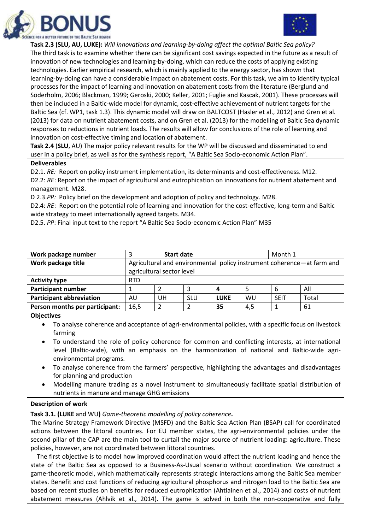



**Task 2.3 (SLU, AU, LUKE):** *Will innovations and learning-by-doing affect the optimal Baltic Sea policy?*  The third task is to examine whether there can be significant cost savings expected in the future as a result of innovation of new technologies and learning-by-doing, which can reduce the costs of applying existing technologies. Earlier empirical research, which is mainly applied to the energy sector, has shown that learning-by-doing can have a considerable impact on abatement costs. For this task, we aim to identify typical processes for the impact of learning and innovation on abatement costs from the literature (Berglund and Söderholm, 2006; Blackman, 1999; Geroski, 2000; Keller, 2001; Fuglie and Kascak, 2001). These processes will then be included in a Baltic-wide model for dynamic, cost-effective achievement of nutrient targets for the Baltic Sea (cf. WP1, task 1.3). This dynamic model will draw on BALTCOST (Hasler et al., 2012) and Gren et al. (2013) for data on nutrient abatement costs, and on Gren et al. (2013) for the modelling of Baltic Sea dynamic responses to reductions in nutrient loads. The results will allow for conclusions of the role of learning and innovation on cost-effective timing and location of abatement.

**Task 2.4** (**SLU**, AU) The major policy relevant results for the WP will be discussed and disseminated to end user in a policy brief, as well as for the synthesis report, "A Baltic Sea Socio-economic Action Plan".

#### **Deliverables**

D2.1. *RE:* Report on policy instrument implementation, its determinants and cost-effectiveness. M12. D2.2: RE: Report on the impact of agricultural and eutrophication on innovations for nutrient abatement and management. M28.

D 2.3.*PP:* Policy brief on the development and adoption of policy and technology. M28.

D2.4: *RE*: Report on the potential role of learning and innovation for the cost-effective, long-term and Baltic wide strategy to meet internationally agreed targets. M34.

D2.5. *PP*: Final input text to the report "A Baltic Sea Socio-economic Action Plan" M35

| Work package number             |                                                                        | <b>Start date</b>         |            |             |     | Month 1     |       |  |  |
|---------------------------------|------------------------------------------------------------------------|---------------------------|------------|-------------|-----|-------------|-------|--|--|
| Work package title              | Agricultural and environmental policy instrument coherence—at farm and |                           |            |             |     |             |       |  |  |
|                                 |                                                                        | agricultural sector level |            |             |     |             |       |  |  |
| <b>Activity type</b>            | <b>RTD</b>                                                             |                           |            |             |     |             |       |  |  |
| <b>Participant number</b>       |                                                                        |                           |            | 4           |     | 6           | All   |  |  |
| <b>Participant abbreviation</b> | AU                                                                     | UH                        | <b>SLU</b> | <b>LUKE</b> | WU  | <b>SEIT</b> | Total |  |  |
| Person months per participant:  | 16,5                                                                   |                           |            | 35          | 4,5 |             | 61    |  |  |
| ----                            |                                                                        |                           |            |             |     |             |       |  |  |

#### **Objectives**

 To analyse coherence and acceptance of agri-environmental policies, with a specific focus on livestock farming

- To understand the role of policy coherence for common and conflicting interests, at international level (Baltic-wide), with an emphasis on the harmonization of national and Baltic-wide agrienvironmental programs.
- To analyse coherence from the farmers' perspective, highlighting the advantages and disadvantages for planning and production
- Modelling manure trading as a novel instrument to simultaneously facilitate spatial distribution of nutrients in manure and manage GHG emissions

## **Description of work**

**Task 3.1. (LUKE** and WU**)** *Game-theoretic modelling of policy coherence***.**

The Marine Strategy Framework Directive (MSFD) and the Baltic Sea Action Plan (BSAP) call for coordinated actions between the littoral countries. For EU member states, the agri-environmental policies under the second pillar of the CAP are the main tool to curtail the major source of nutrient loading: agriculture. These policies, however, are not coordinated between littoral countries.

 The first objective is to model how improved coordination would affect the nutrient loading and hence the state of the Baltic Sea as opposed to a Business-As-Usual scenario without coordination. We construct a game-theoretic model, which mathematically represents strategic interactions among the Baltic Sea member states. Benefit and cost functions of reducing agricultural phosphorus and nitrogen load to the Baltic Sea are based on recent studies on benefits for reduced eutrophication (Ahtiainen et al., 2014) and costs of nutrient abatement measures (Ahlvik et al., 2014). The game is solved in both the non-cooperative and fully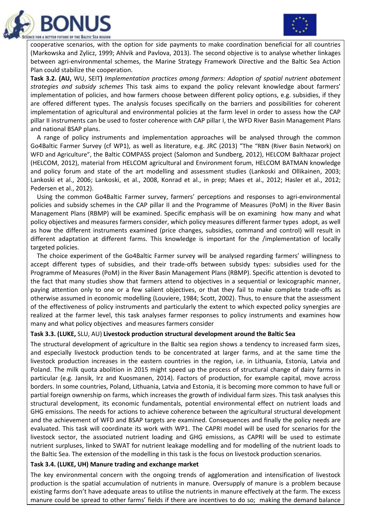



cooperative scenarios, with the option for side payments to make coordination beneficial for all countries (Markowska and Zylicz, 1999; Ahlvik and Pavlova, 2013). The second objective is to analyse whether linkages between agri-environmental schemes, the Marine Strategy Framework Directive and the Baltic Sea Action Plan could stabilize the cooperation.

**Task 3.2. (AU,** WU, SEIT**)** *Implementation practices among farmers: Adoption of spatial nutrient abatement strategies and subsidy schemes* This task aims to expand the policy relevant knowledge about farmers' implementation of policies, and how farmers choose between different policy options, e.g. subsidies, if they are offered different types. The analysis focuses specifically on the barriers and possibilities for coherent implementation of agricultural and environmental policies at the farm level in order to assess how the CAP pillar II instruments can be used to foster coherence with CAP pillar I, the WFD River Basin Management Plans and national BSAP plans.

 A range of policy instruments and implementation approaches will be analysed through the common Go4Baltic Farmer Survey (cf WP1), as well as literature, e.g. JRC (2013) "The "RBN (River Basin Network) on WFD and Agriculture", the Baltic COMPASS project (Salomon and Sundberg, 2012), HELCOM Balthazar project (HELCOM, 2012), material from HELCOM agricultural and Environment forum, HELCOM BATMAN knowledge and policy forum and state of the art modelling and assessment studies (Lankoski and Ollikainen, 2003; Lankoski et al., 2006; Lankoski, et al., 2008, Konrad et al., in prep; Maes et al., 2012; Hasler et al., 2012; Pedersen et al., 2012).

 Using the common Go4Baltic Farmer survey, farmers' perceptions and responses to agri-environmental policies and subsidy schemes in the CAP pillar II and the Programme of Measures (PoM) in the River Basin Management Plans (RBMP) will be examined. Specific emphasis will be on examining how many and what policy objectives and measures farmers consider, which policy measures different farmer types adopt, as well as how the different instruments examined (price changes, subsidies, command and control) will result in different adaptation at different farms. This knowledge is important for the /implementation of locally targeted policies.

 The choice experiment of the Go4Baltic Farmer survey will be analysed regarding farmers' willingness to accept different types of subsidies, and their trade-offs between subsidy types: subsidies used for the Programme of Measures (PoM) in the River Basin Management Plans (RBMP). Specific attention is devoted to the fact that many studies show that farmers attend to objectives in a sequential or lexicographic manner, paying attention only to one or a few salient objectives, or that they fail to make complete trade-offs as otherwise assumed in economic modelling (Louviere, 1984; Scott, 2002). Thus, to ensure that the assessment of the effectiveness of policy instruments and particularly the extent to which expected policy synergies are realized at the farmer level, this task analyses farmer responses to policy instruments and examines how many and what policy objectives and measures farmers consider

#### **Task 3.3. (LUKE,** SLU, AU) **Livestock production structural development around the Baltic Sea**

The structural development of agriculture in the Baltic sea region shows a tendency to increased farm sizes, and especially livestock production tends to be concentrated at larger farms, and at the same time the livestock production increases in the eastern countries in the region, i.e. in Lithuania, Estonia, Latvia and Poland. The milk quota abolition in 2015 might speed up the process of structural change of dairy farms in particular (e.g. Jansik, Irz and Kuosmanen, 2014). Factors of production, for example capital, move across borders. In some countries, Poland, Lithuania, Latvia and Estonia, it is becoming more common to have full or partial foreign ownership on farms, which increases the growth of individual farm sizes. This task analyses this structural development, its economic fundamentals, potential environmental effect on nutrient loads and GHG emissions. The needs for actions to achieve coherence between the agricultural structural development and the achievement of WFD and BSAP targets are examined. Consequences and finally the policy needs are evaluated. This task will coordinate its work with WP1. The CAPRI model will be used for scenarios for the livestock sector, the associated nutrient loading and GHG emissions, as CAPRI will be used to estimate nutrient surpluses, linked to SWAT for nutrient leakage modelling and for modelling of the nutrient loads to the Baltic Sea. The extension of the modelling in this task is the focus on livestock production scenarios.

#### **Task 3.4. (LUKE, UH) Manure trading and exchange market**

The key environmental concern with the ongoing trends of agglomeration and intensification of livestock production is the spatial accumulation of nutrients in manure. Oversupply of manure is a problem because existing farms don't have adequate areas to utilise the nutrients in manure effectively at the farm. The excess manure could be spread to other farms' fields if there are incentives to do so; making the demand balance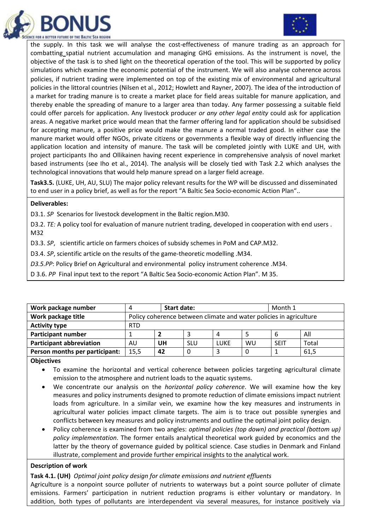



the supply. In this task we will analyse the cost-effectiveness of manure trading as an approach for combatting spatial nutrient accumulation and managing GHG emissions. As the instrument is novel, the objective of the task is to shed light on the theoretical operation of the tool. This will be supported by policy simulations which examine the economic potential of the instrument. We will also analyse coherence across policies, if nutrient trading were implemented on top of the existing mix of environmental and agricultural policies in the littoral countries (Nilsen et al., 2012; Howlett and Rayner, 2007). The idea of the introduction of a market for trading manure is to create a market place for field areas suitable for manure application, and thereby enable the spreading of manure to a larger area than today. Any farmer possessing a suitable field could offer parcels for application. Any livestock producer *or any other legal entity* could ask for application areas. A negative market price would mean that the farmer offering land for application should be subsidised for accepting manure, a positive price would make the manure a normal traded good. In either case the manure market would offer NGOs, private citizens or governments a flexible way of directly influencing the application location and intensity of manure. The task will be completed jointly with LUKE and UH, with project participants Iho and Ollikainen having recent experience in comprehensive analysis of novel market based instruments (see Iho et al., 2014). The analysis will be closely tied with Task 2.2 which analyses the technological innovations that would help manure spread on a larger field acreage.

**Task3.5.** (LUKE, UH, AU, SLU) The major policy relevant results for the WP will be discussed and disseminated to end user in a policy brief, as well as for the report "A Baltic Sea Socio-economic Action Plan"..

#### **Deliverables:**

D3.1. *SP* Scenarios for livestock development in the Baltic region.M30.

D3.2. *TE:* A policy tool for evaluation of manure nutrient trading, developed in cooperation with end users . M32

D3.3. *SP*, scientific article on farmers choices of subsidy schemes in PoM and CAP.M32.

D3.4. *SP*, scientific article on the results of the game-theoretic modelling .M34.

*D3.5.PP*: Policy Brief on Agricultural and environmental policy instrument coherence .M34.

D 3.6. *PP* Final input text to the report "A Baltic Sea Socio-economic Action Plan". M 35.

| Work package number             | 4          | <b>Start date:</b>                                                 | Month 1    |      |    |             |       |  |  |  |
|---------------------------------|------------|--------------------------------------------------------------------|------------|------|----|-------------|-------|--|--|--|
| Work package title              |            | Policy coherence between climate and water policies in agriculture |            |      |    |             |       |  |  |  |
| <b>Activity type</b>            | <b>RTD</b> |                                                                    |            |      |    |             |       |  |  |  |
| <b>Participant number</b>       |            |                                                                    |            |      |    | 6           | All   |  |  |  |
| <b>Participant abbreviation</b> | AU         | UH                                                                 | <b>SLU</b> | LUKE | WU | <b>SEIT</b> | Total |  |  |  |
| Person months per participant:  | 15,5       | 42                                                                 | 0          |      |    |             | 61,5  |  |  |  |
|                                 |            |                                                                    |            |      |    |             |       |  |  |  |

**Objectives**

 To examine the horizontal and vertical coherence between policies targeting agricultural climate emission to the atmosphere and nutrient loads to the aquatic systems.

- We concentrate our analysis on the *horizontal policy coherence*. We will examine how the key measures and policy instruments designed to promote reduction of climate emissions impact nutrient loads from agriculture. In a similar vein, we examine how the key measures and instruments in agricultural water policies impact climate targets. The aim is to trace out possible synergies and conflicts between key measures and policy instruments and outline the optimal joint policy design.
- Policy coherence is examined from two angles: *optimal policies (top down) and practical (bottom up) policy implementation*. The former entails analytical theoretical work guided by economics and the latter by the theory of governance guided by political science. Case studies in Denmark and Finland illustrate, complement and provide further empirical insights to the analytical work.

#### **Description of work**

**Task 4.1. (UH)** *Optimal joint policy design for climate emissions and nutrient effluents*

Agriculture is a nonpoint source polluter of nutrients to waterways but a point source polluter of climate emissions. Farmers' participation in nutrient reduction programs is either voluntary or mandatory. In addition, both types of pollutants are interdependent via several measures, for instance positively via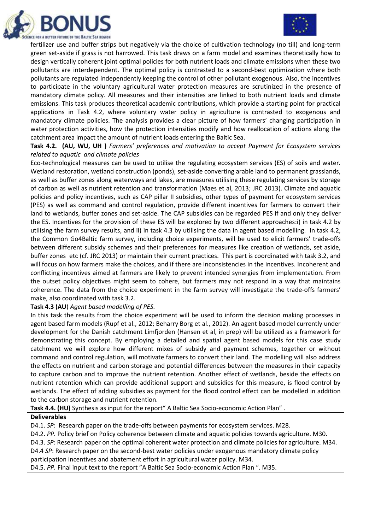



fertilizer use and buffer strips but negatively via the choice of cultivation technology (no till) and long-term green set-aside if grass is not harrowed. This task draws on a farm model and examines theoretically how to design vertically coherent joint optimal policies for both nutrient loads and climate emissions when these two pollutants are interdependent. The optimal policy is contrasted to a second-best optimization where both pollutants are regulated independently keeping the control of other pollutant exogenous. Also, the incentives to participate in the voluntary agricultural water protection measures are scrutinized in the presence of mandatory climate policy. All measures and their intensities are linked to both nutrient loads and climate emissions. This task produces theoretical academic contributions, which provide a starting point for practical applications in Task 4.2, where voluntary water policy in agriculture is contrasted to exogenous and mandatory climate policies. The analysis provides a clear picture of how farmers' changing participation in water protection activities, how the protection intensities modify and how reallocation of actions along the catchment area impact the amount of nutrient loads entering the Baltic Sea.

**Task 4.2. (AU, WU, UH )** *Farmers' preferences and motivation to accept Payment for Ecosystem services related to aquatic and climate policies*

Eco-technological measures can be used to utilise the regulating ecosystem services (ES) of soils and water. Wetland restoration, wetland construction (ponds), set-aside converting arable land to permanent grasslands, as well as buffer zones along waterways and lakes, are measures utilising these regulating services by storage of carbon as well as nutrient retention and transformation (Maes et al, 2013; JRC 2013). Climate and aquatic policies and policy incentives, such as CAP pillar II subsidies, other types of payment for ecosystem services (PES) as well as command and control regulation, provide different incentives for farmers to convert their land to wetlands, buffer zones and set-aside. The CAP subsidies can be regarded PES if and only they deliver the ES. Incentives for the provision of these ES will be explored by two different approaches:i) in task 4.2 by utilising the farm survey results, and ii) in task 4.3 by utilising the data in agent based modelling. In task 4.2, the Common Go4Baltic farm survey, including choice experiments, will be used to elicit farmers' trade-offs between different subsidy schemes and their preferences for measures like creation of wetlands, set aside, buffer zones etc (cf. JRC 2013) or maintain their current practices. This part is coordinated with task 3.2, and will focus on how farmers make the choices, and if there are inconsistencies in the incentives. Incoherent and conflicting incentives aimed at farmers are likely to prevent intended synergies from implementation. From the outset policy objectives might seem to cohere, but farmers may not respond in a way that maintains coherence. The data from the choice experiment in the farm survey will investigate the trade-offs farmers' make, also coordinated with task 3.2.

#### **Task 4.3 (AU**) *Agent based modelling of PES.*

In this task the results from the choice experiment will be used to inform the decision making processes in agent based farm models (Rupf et al., 2012; Beharry Borg et al., 2012). An agent based model currently under development for the Danish catchment Limfjorden (Hansen et al, in prep) will be utilized as a framework for demonstrating this concept. By employing a detailed and spatial agent based models for this case study catchment we will explore how different mixes of subsidy and payment schemes, together or without command and control regulation, will motivate farmers to convert their land. The modelling will also address the effects on nutrient and carbon storage and potential differences between the measures in their capacity to capture carbon and to improve the nutrient retention. Another effect of wetlands, beside the effects on nutrient retention which can provide additional support and subsidies for this measure, is flood control by wetlands. The effect of adding subsidies as payment for the flood control effect can be modelled in addition to the carbon storage and nutrient retention.

**Task 4.4. (HU)** Synthesis as input for the report" A Baltic Sea Socio-economic Action Plan" .

#### **Deliverables**

D4.1. *SP*: Research paper on the trade-offs between payments for ecosystem services. M28.

D4.2. *PP.* Policy brief on Policy coherence between climate and aquatic policies towards agriculture. M30.

D4.3. *SP*: Research paper on the optimal coherent water protection and climate policies for agriculture. M34.

D4.4 *SP*: Research paper on the second-best water policies under exogenous mandatory climate policy

participation incentives and abatement effort in agricultural water policy. M34.

D4.5. *PP.* Final input text to the report "A Baltic Sea Socio-economic Action Plan ". M35.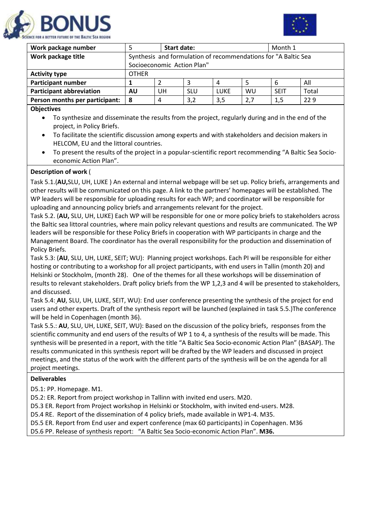



| Work package number             | <b>Start date:</b>                                             |                            |            |      |     | Month 1     |       |  |  |
|---------------------------------|----------------------------------------------------------------|----------------------------|------------|------|-----|-------------|-------|--|--|
| Work package title              | Synthesis and formulation of recommendations for "A Baltic Sea |                            |            |      |     |             |       |  |  |
|                                 |                                                                | Socioeconomic Action Plan" |            |      |     |             |       |  |  |
| <b>Activity type</b>            | <b>OTHER</b>                                                   |                            |            |      |     |             |       |  |  |
| <b>Participant number</b>       |                                                                |                            | 3          | 4    | 5   | 6           | All   |  |  |
| <b>Participant abbreviation</b> | AU                                                             | UН                         | <b>SLU</b> | LUKE | WU  | <b>SFIT</b> | Total |  |  |
| Person months per participant:  | 8                                                              | 4                          | 3,2        | 3,5  | 2,7 | 1,5         | 229   |  |  |
| <b>Objectives</b>               |                                                                |                            |            |      |     |             |       |  |  |

- To synthesize and disseminate the results from the project, regularly during and in the end of the project, in Policy Briefs.
	- To facilitate the scientific discussion among experts and with stakeholders and decision makers in HELCOM, EU and the littoral countries.
	- To present the results of the project in a popular-scientific report recommending "A Baltic Sea Socioeconomic Action Plan".

## **Description of work** (

Task 5.1.(**AU,**SLU, UH, LUKE ) An external and internal webpage will be set up. Policy briefs, arrangements and other results will be communicated on this page. A link to the partners' homepages will be established. The WP leaders will be responsible for uploading results for each WP; and coordinator will be responsible for uploading and announcing policy briefs and arrangements relevant for the project.

Task 5.2. (**AU,** SLU, UH, LUKE) Each WP will be responsible for one or more policy briefs to stakeholders across the Baltic sea littoral countries, where main policy relevant questions and results are communicated. The WP leaders will be responsible for these Policy Briefs in cooperation with WP participants in charge and the Management Board. The coordinator has the overall responsibility for the production and dissemination of Policy Briefs.

Task 5.3: (**AU**, SLU, UH, LUKE, SEIT; WU): Planning project workshops. Each PI will be responsible for either hosting or contributing to a workshop for all project participants, with end users in Tallin (month 20) and Helsinki or Stockholm, (month 28). One of the themes for all these workshops will be dissemination of results to relevant stakeholders. Draft policy briefs from the WP 1,2,3 and 4 will be presented to stakeholders, and discussed.

Task 5.4: **AU**, SLU, UH, LUKE, SEIT, WU): End user conference presenting the synthesis of the project for end users and other experts. Draft of the synthesis report will be launched (explained in task 5.5.)The conference will be held in Copenhagen (month 36).

Task 5.5.: **AU**, SLU, UH, LUKE, SEIT, WU): Based on the discussion of the policy briefs, responses from the scientific community and end users of the results of WP 1 to 4, a synthesis of the results will be made. This synthesis will be presented in a report, with the title "A Baltic Sea Socio-economic Action Plan" (BASAP). The results communicated in this synthesis report will be drafted by the WP leaders and discussed in project meetings, and the status of the work with the different parts of the synthesis will be on the agenda for all project meetings.

## **Deliverables**

D5.1: PP. Homepage. M1.

D5.2: ER. Report from project workshop in Tallinn with invited end users. M20.

D5.3 ER. Report from Project workshop in Helsinki or Stockholm, with invited end-users. M28.

D5.4 RE. Report of the dissemination of 4 policy briefs, made available in WP1-4. M35.

D5.5 ER. Report from End user and expert conference (max 60 participants) in Copenhagen. M36

D5.6 PP. Release of synthesis report: "A Baltic Sea Socio-economic Action Plan". **M36.**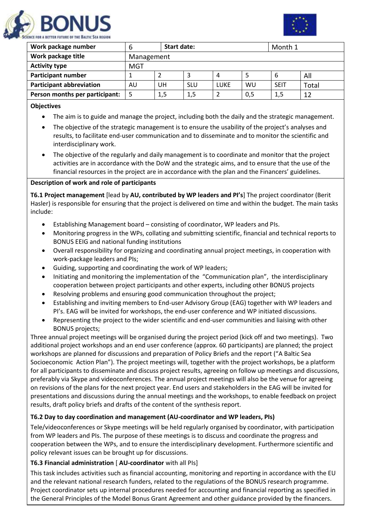



| Work package number             | ь                      | <b>Start date:</b> |            |      |    | Month 1     |       |  |  |
|---------------------------------|------------------------|--------------------|------------|------|----|-------------|-------|--|--|
| Work package title              |                        | Management         |            |      |    |             |       |  |  |
| <b>Activity type</b>            | MGT                    |                    |            |      |    |             |       |  |  |
| <b>Participant number</b>       |                        |                    |            | 4    |    | 6           | All   |  |  |
| <b>Participant abbreviation</b> | AU                     | UH                 | <b>SLU</b> | LUKE | WU | <b>SEIT</b> | Total |  |  |
| Person months per participant:  | 5<br>1,5<br>1,5<br>0,5 |                    |            |      |    | 1,5         | 12    |  |  |

#### **Objectives**

- The aim is to guide and manage the project, including both the daily and the strategic management.
- The objective of the strategic management is to ensure the usability of the project's analyses and results, to facilitate end-user communication and to disseminate and to monitor the scientific and interdisciplinary work.
- The objective of the regularly and daily management is to coordinate and monitor that the project activities are in accordance with the DoW and the strategic aims, and to ensure that the use of the financial resources in the project are in accordance with the plan and the Financers' guidelines.

## **Description of work and role of participants**

**T6.1 Project management** [lead by **AU, contributed by WP leaders and PI's**] The project coordinator (Berit Hasler) is responsible for ensuring that the project is delivered on time and within the budget. The main tasks include:

- Establishing Management board consisting of coordinator, WP leaders and PIs.
- Monitoring progress in the WPs, collating and submitting scientific, financial and technical reports to BONUS EEIG and national funding institutions
- Overall responsibility for organizing and coordinating annual project meetings, in cooperation with work-package leaders and PIs;
- Guiding, supporting and coordinating the work of WP leaders;
- Initiating and monitoring the implementation of the "Communication plan", the interdisciplinary cooperation between project participants and other experts, including other BONUS projects
- Resolving problems and ensuring good communication throughout the project;
- Establishing and inviting members to End-user Advisory Group (EAG) together with WP leaders and PI's. EAG will be invited for workshops, the end-user conference and WP initiated discussions.
- Representing the project to the wider scientific and end-user communities and liaising with other BONUS projects;

Three annual project meetings will be organised during the project period (kick off and two meetings). Two additional project workshops and an end user conference (approx. 60 participants) are planned; the project workshops are planned for discussions and preparation of Policy Briefs and the report ("A Baltic Sea Socioeconomic Action Plan"). The project meetings will, together with the project workshops, be a platform for all participants to disseminate and discuss project results, agreeing on follow up meetings and discussions, preferably via Skype and videoconferences. The annual project meetings will also be the venue for agreeing on revisions of the plans for the next project year. End users and stakeholders in the EAG will be invited for presentations and discussions during the annual meetings and the workshops, to enable feedback on project results, draft policy briefs and drafts of the content of the synthesis report.

#### **T6.2 Day to day coordination and management (AU-coordinator and WP leaders, PIs)**

Tele/videoconferences or Skype meetings will be held regularly organised by coordinator, with participation from WP leaders and PIs. The purpose of these meetings is to discuss and coordinate the progress and cooperation between the WPs, and to ensure the interdisciplinary development. Furthermore scientific and policy relevant issues can be brought up for discussions.

## **T6.3 Financial administration** [ **AU-coordinator** with all PIs]

This task includes activities such as financial accounting, monitoring and reporting in accordance with the EU and the relevant national research funders, related to the regulations of the BONUS research programme. Project coordinator sets up internal procedures needed for accounting and financial reporting as specified in the General Principles of the Model Bonus Grant Agreement and other guidance provided by the financers.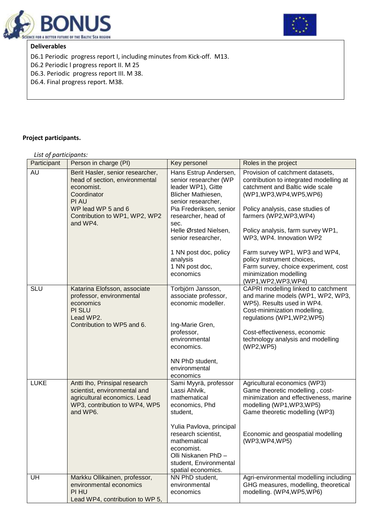



#### **Deliverables**

D6.1 Periodic progress report I, including minutes from Kick-off. M13.

D6.2 Periodic l progress report II. M 25

D6.3. Periodic progress report III. M 38.

D6.4. Final progress report. M38.

## **Project participants.**

| List of participants: |                                                                                                                                                                             |                                                                                                                                                                                                                                                                                               |                                                                                                                                                                                                                                                                                                                                                                                                                                    |
|-----------------------|-----------------------------------------------------------------------------------------------------------------------------------------------------------------------------|-----------------------------------------------------------------------------------------------------------------------------------------------------------------------------------------------------------------------------------------------------------------------------------------------|------------------------------------------------------------------------------------------------------------------------------------------------------------------------------------------------------------------------------------------------------------------------------------------------------------------------------------------------------------------------------------------------------------------------------------|
| Participant           | Person in charge (PI)                                                                                                                                                       | Key personel                                                                                                                                                                                                                                                                                  | Roles in the project                                                                                                                                                                                                                                                                                                                                                                                                               |
| AU                    | Berit Hasler, senior researcher,<br>head of section, environmental<br>economist.<br>Coordinator<br>PI AU<br>WP lead WP 5 and 6<br>Contribution to WP1, WP2, WP2<br>and WP4. | Hans Estrup Andersen,<br>senior researcher (WP<br>leader WP1), Gitte<br>Blicher Mathiesen,<br>senior researcher,<br>Pia Frederiksen, senior<br>researcher, head of<br>sec.<br>Helle Ørsted Nielsen,<br>senior researcher,<br>1 NN post doc, policy<br>analysis<br>1 NN post doc,<br>economics | Provision of catchment datasets,<br>contribution to integrated modelling at<br>catchment and Baltic wide scale<br>(WP1, WP3, WP4, WP5, WP6)<br>Policy analysis, case studies of<br>farmers (WP2,WP3,WP4)<br>Policy analysis, farm survey WP1,<br>WP3, WP4. Innovation WP2<br>Farm survey WP1, WP3 and WP4,<br>policy instrument choices,<br>Farm survey, choice experiment, cost<br>minimization modelling<br>(WP1, WP2, WP3, WP4) |
| SLU                   | Katarina Elofsson, associate<br>professor, environmental<br>economics<br>PI SLU<br>Lead WP2.<br>Contribution to WP5 and 6.                                                  | Torbjörn Jansson,<br>associate professor,<br>economic modeller.<br>Ing-Marie Gren,<br>professor,<br>environmental<br>economics.<br>NN PhD student,<br>environmental<br>economics                                                                                                              | CAPRI modelling linked to catchment<br>and marine models (WP1, WP2, WP3,<br>WP5). Results used in WP4.<br>Cost-minimization modelling,<br>regulations (WP1, WP2, WP5)<br>Cost-effectiveness, economic<br>technology analysis and modelling<br>(WP2,WP5)                                                                                                                                                                            |
| <b>LUKE</b>           | Antti Iho, Prinsipal research<br>scientist, environmental and<br>agricultural economics. Lead<br>WP3, contribution to WP4, WP5<br>and WP6.                                  | Sami Myyrä, professor<br>Lassi Ahlvik,<br>mathematical<br>economics, Phd<br>student,<br>Yulia Pavlova, principal<br>research scientist,<br>mathematical<br>economist.<br>Olli Niskanen PhD -<br>student, Environmental<br>spatial economics.                                                  | Agricultural economics (WP3)<br>Game theoretic modelling, cost-<br>minimization and effectiveness, marine<br>modelling (WP1, WP3, WP5)<br>Game theoretic modelling (WP3)<br>Economic and geospatial modelling<br>(WP3,WP4,WP5)                                                                                                                                                                                                     |
| UH                    | Markku Ollikainen, professor,<br>environmental economics<br>PI HU<br>Lead WP4, contribution to WP 5,                                                                        | NN PhD student,<br>environmental<br>economics                                                                                                                                                                                                                                                 | Agri-environmental modelling including<br>GHG measures, modelling, theoretical<br>modelling. (WP4,WP5,WP6)                                                                                                                                                                                                                                                                                                                         |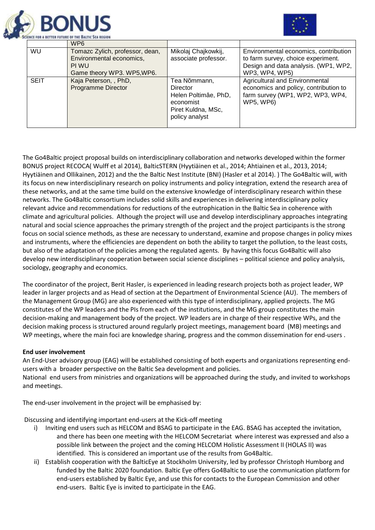



|             | WP <sub>6</sub>                                                                                    |                                                                                                              |                                                                                                                                       |
|-------------|----------------------------------------------------------------------------------------------------|--------------------------------------------------------------------------------------------------------------|---------------------------------------------------------------------------------------------------------------------------------------|
| WU          | Tomazc Zylich, professor, dean,<br>Environmental economics,<br>PI WU<br>Game theory WP3. WP5, WP6. | Mikolaj Chajkowkij,<br>associate professor.                                                                  | Environmental economics, contribution<br>to farm survey, choice experiment.<br>Design and data analysis. (WP1, WP2,<br>WP3, WP4, WP5) |
| <b>SEIT</b> | Kaja Peterson, , PhD,<br><b>Programme Director</b>                                                 | Tea Nõmmann,<br><b>Director</b><br>Helen Poltimâe, PhD,<br>economist<br>Piret Kuldna, MSc,<br>policy analyst | Agricultural and Environmental<br>economics and policy, contribution to<br>farm survey (WP1, WP2, WP3, WP4,<br><b>WP5, WP6)</b>       |

The Go4Baltic project proposal builds on interdisciplinary collaboration and networks developed within the former BONUS project RECOCA( Wulff et al 2014), BalticSTERN (Hyytiäinen et al., 2014; Ahtiainen et al., 2013, 2014; Hyytiäinen and Ollikainen, 2012) and the the Baltic Nest Institute (BNI) (Hasler et al 2014). ) The Go4Baltic will, with its focus on new interdisciplinary research on policy instruments and policy integration, extend the research area of these networks, and at the same time build on the extensive knowledge of interdisciplinary research within these networks. The Go4Baltic consortium includes solid skills and experiences in delivering interdisciplinary policy relevant advice and recommendations for reductions of the eutrophication in the Baltic Sea in coherence with climate and agricultural policies. Although the project will use and develop interdisciplinary approaches integrating natural and social science approaches the primary strength of the project and the project participants is the strong focus on social science methods, as these are necessary to understand, examine and propose changes in policy mixes and instruments, where the efficiencies are dependent on both the ability to target the pollution, to the least costs, but also of the adaptation of the policies among the regulated agents. By having this focus Go4Baltic will also develop new interdisciplinary cooperation between social science disciplines – political science and policy analysis, sociology, geography and economics.

The coordinator of the project, Berit Hasler, is experienced in leading research projects both as project leader, WP leader in larger projects and as Head of section at the Department of Environmental Science (AU). The members of the Management Group (MG) are also experienced with this type of interdisciplinary, applied projects. The MG constitutes of the WP leaders and the PIs from each of the institutions, and the MG group constitutes the main decision-making and management body of the project. WP leaders are in charge of their respective WPs, and the decision making process is structured around regularly project meetings, management board (MB) meetings and WP meetings, where the main foci are knowledge sharing, progress and the common dissemination for end-users .

#### **End user involvement**

An End-User advisory group (EAG) will be established consisting of both experts and organizations representing endusers with a broader perspective on the Baltic Sea development and policies. National end users from ministries and organizations will be approached during the study, and invited to workshops and meetings.

The end-user involvement in the project will be emphasised by:

Discussing and identifying important end-users at the Kick-off meeting

- i) Inviting end users such as HELCOM and BSAG to participate in the EAG. BSAG has accepted the invitation, and there has been one meeting with the HELCOM Secretariat where interest was expressed and also a possible link between the project and the coming HELCOM Holistic Assessment II (HOLAS II) was identified. This is considered an important use of the results from Go4Baltic.
- ii) Establish cooperation with the BalticEye at Stockholm University, led by professor Christoph Humborg and funded by the Baltic 2020 foundation. Baltic Eye offers Go4Baltic to use the communication platform for end-users established by Baltic Eye, and use this for contacts to the European Commission and other end-users. Baltic Eye is invited to participate in the EAG.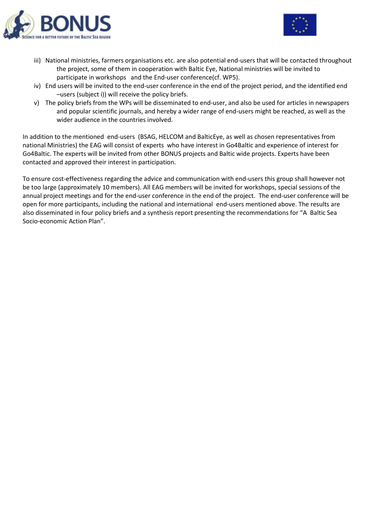



- iii) National ministries, farmers organisations etc. are also potential end-users that will be contacted throughout the project, some of them in cooperation with Baltic Eye, National ministries will be invited to participate in workshops and the End-user conference(cf. WP5).
- iv) End users will be invited to the end-user conference in the end of the project period, and the identified end –users (subject i)) will receive the policy briefs.
- v) The policy briefs from the WPs will be disseminated to end-user, and also be used for articles in newspapers and popular scientific journals, and hereby a wider range of end-users might be reached, as well as the wider audience in the countries involved.

In addition to the mentioned end-users (BSAG, HELCOM and BalticEye, as well as chosen representatives from national Ministries) the EAG will consist of experts who have interest in Go4Baltic and experience of interest for Go4Baltic. The experts will be invited from other BONUS projects and Baltic wide projects. Experts have been contacted and approved their interest in participation.

To ensure cost-effectiveness regarding the advice and communication with end-users this group shall however not be too large (approximately 10 members). All EAG members will be invited for workshops, special sessions of the annual project meetings and for the end-user conference in the end of the project. The end-user conference will be open for more participants, including the national and international end-users mentioned above. The results are also disseminated in four policy briefs and a synthesis report presenting the recommendations for "A Baltic Sea Socio-economic Action Plan".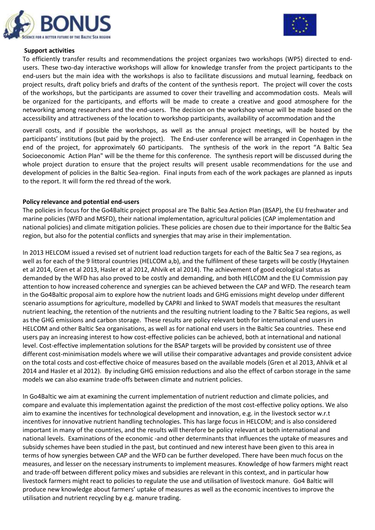



#### **Support activities**

To efficiently transfer results and recommendations the project organizes two workshops (WP5) directed to endusers. These two-day interactive workshops will allow for knowledge transfer from the project participants to the end-users but the main idea with the workshops is also to facilitate discussions and mutual learning, feedback on project results, draft policy briefs and drafts of the content of the synthesis report. The project will cover the costs of the workshops, but the participants are assumed to cover their travelling and accommodation costs. Meals will be organized for the participants, and efforts will be made to create a creative and good atmosphere for the networking among researchers and the end-users. The decision on the workshop venue will be made based on the accessibility and attractiveness of the location to workshop participants, availability of accommodation and the

overall costs, and if possible the workshops, as well as the annual project meetings, will be hosted by the participants' institutions (but paid by the project). The End-user conference will be arranged in Copenhagen in the end of the project, for approximately 60 participants. The synthesis of the work in the report "A Baltic Sea Socioeconomic Action Plan" will be the theme for this conference. The synthesis report will be discussed during the whole project duration to ensure that the project results will present usable recommendations for the use and development of policies in the Baltic Sea-region. Final inputs from each of the work packages are planned as inputs to the report. It will form the red thread of the work.

## **Policy relevance and potential end-users**

The policies in focus for the Go4Baltic project proposal are The Baltic Sea Action Plan (BSAP), the EU freshwater and marine policies (WFD and MSFD), their national implementation, agricultural policies (CAP implementation and national policies) and climate mitigation policies. These policies are chosen due to their importance for the Baltic Sea region, but also for the potential conflicts and synergies that may arise in their implementation.

In 2013 HELCOM issued a revised set of nutrient load reduction targets for each of the Baltic Sea 7 sea regions, as well as for each of the 9 littoral countries (HELCOM a,b), and the fulfilment of these targets will be costly (Hyytainen et al 2014, Gren et al 2013, Hasler et al 2012, Ahlvik et al 2014). The achievement of good ecological status as demanded by the WFD has also proved to be costly and demanding, and both HELCOM and the EU Commission pay attention to how increased coherence and synergies can be achieved between the CAP and WFD. The research team in the Go4Baltic proposal aim to explore how the nutrient loads and GHG emissions might develop under different scenario assumptions for agriculture, modelled by CAPRI and linked to SWAT models that measures the resultant nutrient leaching, the retention of the nutrients and the resulting nutrient loading to the 7 Baltic Sea regions, as well as the GHG emissions and carbon storage. These results are policy relevant both for international end users in HELCOM and other Baltic Sea organisations, as well as for national end users in the Baltic Sea countries. These end users pay an increasing interest to how cost-effective policies can be achieved, both at international and national level. Cost-effective implementation solutions for the BSAP targets will be provided by consistent use of three different cost-minimisation models where we will utilise their comparative advantages and provide consistent advice on the total costs and cost-effective choice of measures based on the available models (Gren et al 2013, Ahlvik et al 2014 and Hasler et al 2012). By including GHG emission reductions and also the effect of carbon storage in the same models we can also examine trade-offs between climate and nutrient policies.

In Go4Baltic we aim at examining the current implementation of nutrient reduction and climate policies, and compare and evaluate this implementation against the prediction of the most cost-effective policy options. We also aim to examine the incentives for technological development and innovation, e.g. in the livestock sector w.r.t incentives for innovative nutrient handling technologies. This has large focus in HELCOM; and is also considered important in many of the countries, and the results will therefore be policy relevant at both international and national levels. Examinations of the economic -and other determinants that influences the uptake of measures and subsidy schemes have been studied in the past, but continued and new interest have been given to this area in terms of how synergies between CAP and the WFD can be further developed. There have been much focus on the measures, and lesser on the necessary instruments to implement measures. Knowledge of how farmers might react and trade-off between different policy mixes and subsidies are relevant in this context, and in particular how livestock farmers might react to policies to regulate the use and utilisation of livestock manure. Go4 Baltic will produce new knowledge about farmers' uptake of measures as well as the economic incentives to improve the utilisation and nutrient recycling by e.g. manure trading.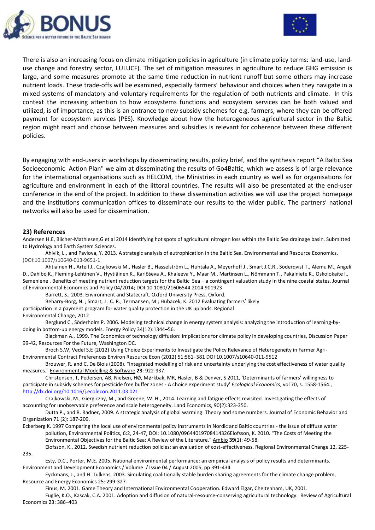



There is also an increasing focus on climate mitigation policies in agriculture (in climate policy terms: land-use, landuse change and forestry sector, LULUCF). The set of mitigation measures in agriculture to reduce GHG emission is large, and some measures promote at the same time reduction in nutrient runoff but some others may increase nutrient loads. These trade-offs will be examined, especially farmers' behaviour and choices when they navigate in a mixed systems of mandatory and voluntary requirements for the regulation of both nutrients and climate. In this context the increasing attention to how ecosystems functions and ecosystem services can be both valued and utilized, is of importance, as this is an entrance to new subsidy schemes for e.g. farmers, where they can be offered payment for ecosystem services (PES). Knowledge about how the heterogeneous agricultural sector in the Baltic region might react and choose between measures and subsidies is relevant for coherence between these different policies.

By engaging with end-users in workshops by disseminating results, policy brief, and the synthesis report "A Baltic Sea Socioeconomic Action Plan" we aim at disseminating the results of Go4Baltic, which we assess is of large relevance for the international organisations such as HELCOM, the Ministries in each country as well as for organisations for agriculture and environment in each of the littoral countries. The results will also be presentated at the end-user conference in the end of the project. In addition to these dissemination activities we will use the project homepage and the institutions communication offices to disseminate our results to the wider public. The partners' national networks will also be used for dissemination.

#### **23) References**

Andersen H.E, Blicher-Mathiesen,G et al 2014 Identifying hot spots of agricultural nitrogen loss within the Baltic Sea drainage basin. Submitted to Hydrology and Earth System Sciences.

Ahlvik, L., and Pavlova, Y. 2013. A strategic analysis of eutrophication in the Baltic Sea. Environmental and Resource Economics, (DOI:10.1007/s10640-013-9651-1

[Ahtiainen H.,](https://www.researchgate.net/researcher/22902373_Ahtiainen_H/) [Artell J.,](https://www.researchgate.net/researcher/2006853902_Artell_J/) [Czajkowski M.,](https://www.researchgate.net/researcher/14819361_Czajkowski_M/) [Hasler B.,](https://www.researchgate.net/researcher/8036947_Hasler_B/) [Hasselström L.,](https://www.researchgate.net/researcher/80877989_Hasselstroem_L/) [Huhtala A.,](https://www.researchgate.net/researcher/7296117_Huhtala_A/) [Meyerhoff J.,](https://www.researchgate.net/researcher/14242674_Meyerhoff_J/) [Smart J.C.R.,](https://www.researchgate.net/researcher/2046753225_Smart_JCR/) [Söderqvist](https://www.researchgate.net/researcher/11915736_Soederqvist_T/) T.[, Alemu M.,](https://www.researchgate.net/researcher/2046706868_Alemu_M/) [Angeli](https://www.researchgate.net/researcher/2027102275_Angeli_D/)  [D.,](https://www.researchgate.net/researcher/2027102275_Angeli_D/) [Dahlbo K.,](https://www.researchgate.net/researcher/17745576_Dahlbo_K/) [Fleming-Lehtinen V.,](https://www.researchgate.net/researcher/82097431_Fleming-Lehtinen_V/) [Hyytiäinen K.,](https://www.researchgate.net/researcher/22902377_Hyytiaeinen_K/) [Karlõševa A.](https://www.researchgate.net/researcher/2046722286_Karloseva_A/)[, Khaleeva Y.,](https://www.researchgate.net/researcher/2046724155_Khaleeva_Y/) [Maar M.,](https://www.researchgate.net/researcher/2046737680_Maar_M/) [Martinsen L.,](https://www.researchgate.net/researcher/58841339_Martinsen_L/) [Nõmmann T.,](https://www.researchgate.net/researcher/2046722035_Nommann_T/) [Pakalniete K.,](https://www.researchgate.net/researcher/2046732444_Pakalniete_K/) [Oskolokaite I.,](https://www.researchgate.net/researcher/2046780959_Oskolokaite_I/) [Semeniene .](https://www.researchgate.net/researcher/2046753934_Semeniene_D/) Benefits of meeting nutrient reduction targets for the Baltic Sea – a contingent valuation study in the nine coastal states. Journal of Environmental Economics and Policy 04/2014; DOI:10.1080/21606544.2014.901923

Barrett, S., 2003. Environment and Statecraft. Oxford University Press, Oxford.

Beharry-Borg, N. ; Smart, J . C. R.; Termansen, M.; Hubacek, K. 2012 Evaluating farmers' likely

participation in a payment program for water quality protection in the UK uplands. Regional

#### Environmental Change, 2012

235.

Berglund C , Söderholm P. 2006. Modeling technical change in energy system analysis: analyzing the introduction of learning-bydoing in bottom-up energy models. Energy Policy 34(12):1344–56.

Blackman A., 1999. The Economics of technology diffusion: implications for climate policy in developing countries, Discussion Paper 99-42, Resources For the Future, Washington DC.

Broch S.W, Vedel S.E (2012) Using Choice Experiments to Investigate the Policy Relevance of Heterogeneity in Farmer Agri-Environmental Contract Preferences Environ Resource Econ (2012) 51:561–581 DOI 10.1007/s10640-011-9512

Brouwer, R. and C. De Blois (2008). "Integrated modelling of risk and uncertainty underlying the cost effectiveness of water quality measures." Environmental Modelling & Software **23**: 922-937.

Christensen, T, Pedersen, AB, Nielsen, HØ, Mørkbak, MR, Hasler, B & Denver, S 2011, 'Determinants of farmers' willingness to participate in subsidy schemes for pesticide free buffer zones - A choice experiment study' *Ecological Economics*, vol 70, s. 1558-1564., <http://dx.doi.org/10.1016/j.ecolecon.2011.03.021>

Czajkowski, M., Giergiczny, M., and Greene, W. H., 2014. Learning and fatigue effects revisited. Investigating the effects of accounting for unobservable preference and scale heterogeneity. Land Economics, 90(2):323-350.

Dutta P., and R. Radner, 2009. A strategic analysis of global warming: Theory and some numbers. Journal of Economic Behavior and Organization 71 (2): 187-209.

Eckerberg K. 1997 Comparing the local use of environmental policy instruments in Nordic and Baltic countries ‐ the issue of diffuse water pollution, Environmental Politics, 6:2, 24-47, DOI: 10.1080/09644019708414326Elofsson, K. 2010. "The Costs of Meeting the Environmental Objectives for the Baltic Sea: A Review of the Literature." Ambio **39**(1): 49-58.

Elofsson, K., 2012. Swedish nutrient reduction policies: an evaluation of cost-effectiveness. Regional Environmental Change 12, 225-

Esty, D.C., Porter, M.E. 2005. National environmental performance: an empirical analysis of policy results and determinants. Environment and Development Economics / Volume / Issue 04 / August 2005, pp 391-434

Eyckmans, J., and H. Tulkens, 2003. Simulating coalitionally stable burden sharing agreements for the climate change problem, Resource and Energy Economics 25: 299-327.

Finus, M. 2001. Game Theory and International Environmental Cooperation. Edward Elgar, Cheltenham, UK, 2001.

Fuglie, K.O., Kascak, C.A. 2001. Adoption and diffusion of natural-resource-conserving agricultural technology. Review of Agricultural Economics 23: 386–403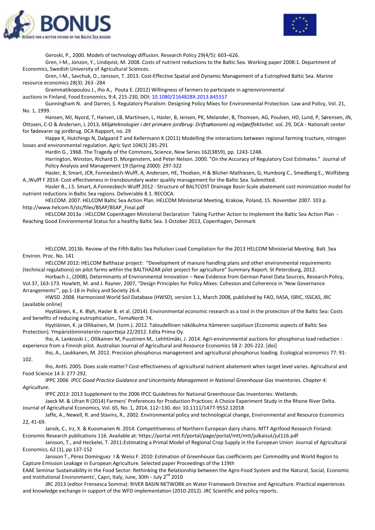



Geroski, P., 2000. Models of technology diffusion. Research Policy 29(4/5): 603–626.

Gren, I-M., Jonzon, Y., Lindqvist, M. 2008. Costs of nutrient reductions to the Baltic Sea. Working paper 2008:1. Department of Economics, Swedish University of Agricultural Sciences.

Gren, I-M., Savchuk, O., Jansson, T. 2013. Cost-Effective Spatial and Dynamic Management of a Eutrophied Baltic Sea. Marine resource economics 28(3): 263 -284

Grammatikopoulou J., Iho A., Pouta E. (2012) Willingness of farmers to participate in agrienvironmental

auctions in Finland, Food Economics, 9:4, 215-230, DOI: 10.1080/2164828X.2013.845557

Gunningham N. and Darren, S. Regulatory Pluralism: Designing Policy Mixes for Environmental Protection. Law and Policy, Vol. 21, No. 1, 1999.

[Hansen, MJ,](http://pure.au.dk/portal/en/persons/michael-joergen-hansen(8f2a34d1-9772-4f0f-afb2-e832ec71f9d3).html) Nyord, [T, Hansen, LB, Martinsen, L,](http://pure.au.dk/portal/en/persons/line-block-hansen(e7f78fd3-ebc7-4bdf-aebc-e89b590d005d).html) [Hasler, B,](http://pure.au.dk/portal/en/persons/berit-hasler(63d231d4-5285-481a-abec-99c2aff93b73).html) Jensen, P[K, Melander, B, Thomsen, AG,](http://pure.au.dk/portal/en/persons/bo-melander(14acbbf9-707b-448c-a5ef-f29eb4b7404f).html) Poulsen, HD, Lund, [P, Sørensen, JN,](http://pure.au.dk/portal/en/persons/joern-nygaard-soerensen(e0a4c9d1-ceff-4037-800d-eccf51b6c1bc).html) Ottosen, C-O [& Andersen, L](http://pure.au.dk/portal/en/persons/lillie-andersen(453b1cfb-a1ac-4a64-96cc-b6553f019dbd).html) 2013, *[Miljøteknologier i det primære jordbrug: Driftsøkonomi og miljøeffektivitet](http://pure.au.dk/portal/en/publications/miljoeteknologier-i-det-primaere-jordbrug(c680d3ca-287a-4afb-b738-d44581275292).html)*. vol. 29, DCA - Nationalt center for fødevarer og jordbrug. DCA Rapport, no. 29

Happe K, Hutchings N, Dalgaard T and Kellermann K (2011) Modelling the interactions between regional farming tructure, nitrogen losses and environmental regulation. Agric Syst 104(3) 281-291

Hardin G., 1968. The Tragedy of the Commons, Science, New Series 162(3859), pp. 1243-1248.

Harrington, Winston, Richard D. Morgenstern, and Peter Nelson. 2000. "On the Accuracy of Regulatory Cost Estimates." Journal of Policy Analysis and Management 19 (Spring 2000): 297-322

Hasler, B, Smart, JCR, Fonnesbech-Wulff, A, Andersen, HE, Thodsen, H & Blicher-Mathiesen, G; Humborg C., Smedberg E., Wolfsberg A.,Wulff F 2014: Cost-effectiveness in transboundary water quality management for the Baltic Sea. Submitted.

Hasler B., J.S. Smart, A.Fonnesbech-Wulff 2012 : Structure of BALTCOST Drainage Basin Scale abatement cost minimization model for nutrient reductions in Baltic Sea regions. Deliverable 8.1. RECOCA.

HELCOM. 2007. HELCOM Baltic Sea Action Plan. HELCOM Ministerial Meeting, Krakow, Poland, 15. November 2007. 103 p. [http://www.helcom.fi/stc/files/BSAP/BSAP\\_Final.pdf](http://www.helcom.fi/stc/files/BSAP/BSAP_Final.pdf)

HELCOM 2013a : HELCOM Copenhagen Ministerial Declaration Taking Further Action to Implement the Baltic Sea Action Plan - Reaching Good Environmental Status for a healthy Baltic Sea. 3 October 2013, Copenhagen, Denmark

HELCOM, 2013b. Review of the Fifth Baltic Sea Pollution Load Compilation for the 2013 HELCOM Ministerial Meeting. Balt. Sea Environ. Proc. No. 141

HELCOM 2012: HELCOM Balthazar project: "Development of manure handling plans and other environmental requirements (technical regulations) on pilot farms within the BALTHAZAR pilot project for agriculture" Summary Report. St Petersburg, 2012.

Horbach J., (2008), Determinants of Environmental Innovation – New Evidence from German Panel Data Sources, Research Policy, Vol.37, 163-173. Howlett, M. and J. Rayner, 2007, "Design Principles for Policy Mixes: Cohesion and Coherence in 'New Governance Arrangements'", pp.1-18 in Policy and Society 26:4.

HWSD. 2008. Harmonized World Soil Database (HWSD), version 1.1, March 2008, published by FAO, IIASA, ISRIC, ISSCAS, JRC (available online)

Hyytiäinen, K., K. Blyh, Hasler B. et al. (2014). Environmental economic research as a tool in the protection of the Baltic Sea: Costs and benefits of reducing eutrophication., TemaNord**:** 74.

Hyytiäinen, K. ja Ollikainen, M. (toim.). 2012. Taloudellinen näkökulma Itämeren suojeluun (Economic aspects of Baltic Sea Protection). Ympäristöministeriön raportteja 22/2012. Edita Prima Oy.

Iho, A. Lankosski J., Ollikainen M, Puustinen M,. Lehhtimäki, J. 2014. [Agri-environmental auctions for phosphorus load reduction :](http://jukuri.mtt.fi/handle/10024/482420)  [experience from a Finnish pilot.](http://jukuri.mtt.fi/handle/10024/482420) Australian Journal of Agricultural and Resource Economics 58 2: 205-222. [\[doi\]](http://dx.doi.org/doi:10.1111/1467-8489.12049)

Iho, A., Laukkanen, M. 2012. [Precision phosphorus management and agricultural phosphorus loading.](http://jukuri.mtt.fi/handle/10024/479814) Ecological economics 77: 91- 102.

Iho, Antti. 2005. [Does scale matter? Cost-effectiveness of agricultural nutrient abatement when target level varies.](http://jukuri.mtt.fi/handle/10024/460859) Agricultural and Food Science 14 3: 277-292.

IPPC 2006 *IPCC Good Practice Guidance and Uncertainty Management in National Greenhouse Gas Inventories. Chapter 4: Agriculture.* 

IPPC *2013:* 2013 Supplement to the 2006 IPCC Guidelines for National Greenhouse Gas Inventories: Wetlands.

Jaeck M. & Lifran R (2014) Farmers' Preferences for Production Practices: A Choice Experiment Study in the Rhone River Delta. Journal of Agricultural Economics, Vol. 65, No. 1, 2014, 112–130. doi: 10.1111/1477-9552.12018

Jaffe, A., Newell, R. and Stavins, R., 2002. Environmental policy and technological change, Environmental and Resource Economics 22, 41-69.

Jansik, C., Irz, X. & Kuosmanen N. 2014. Competitiveness of Northern European dairy chains. MTT Agrifood Research Finland: Economic Research publications 116. Available at: https://portal.mtt.fi/portal/page/portal/mtt/mtt/julkaisut/jul116.pdf

Jansson, T., and Heckelei, T. 2011[:Estimating a Primal Model of Regional Crop Supply in the European Union](http://dx.doi.org/10.1111/j.1477-9552.2010.00270.x) Journal of Agricultural Economics, 62 (1), pp 137-152

Jansson T., Pèrez Dominguez I & Weiss F. 2010: Estimation of Greenhouse Gas coefficients per Commodity and World Region to Capture Emission Leakage in European Agriculture. Selected paper Proceedings of the 119th

EAAE Seminar Sustainability in the Food Sector: Rethinking the Relationship between the Agro-Food System and the Natural, Social, Economic and Institutional Environments', Capri, Italy, June, 30th - July 2<sup>nd</sup> 2010

JRC 2013 (editor Frensesca Somma): RIVER BASIN NETWORK on Water Framework Directive and Agriculture. Practical experiences and knowledge exchange in support of the WFD implementation (2010-2012). JRC Scientific and policy reports.